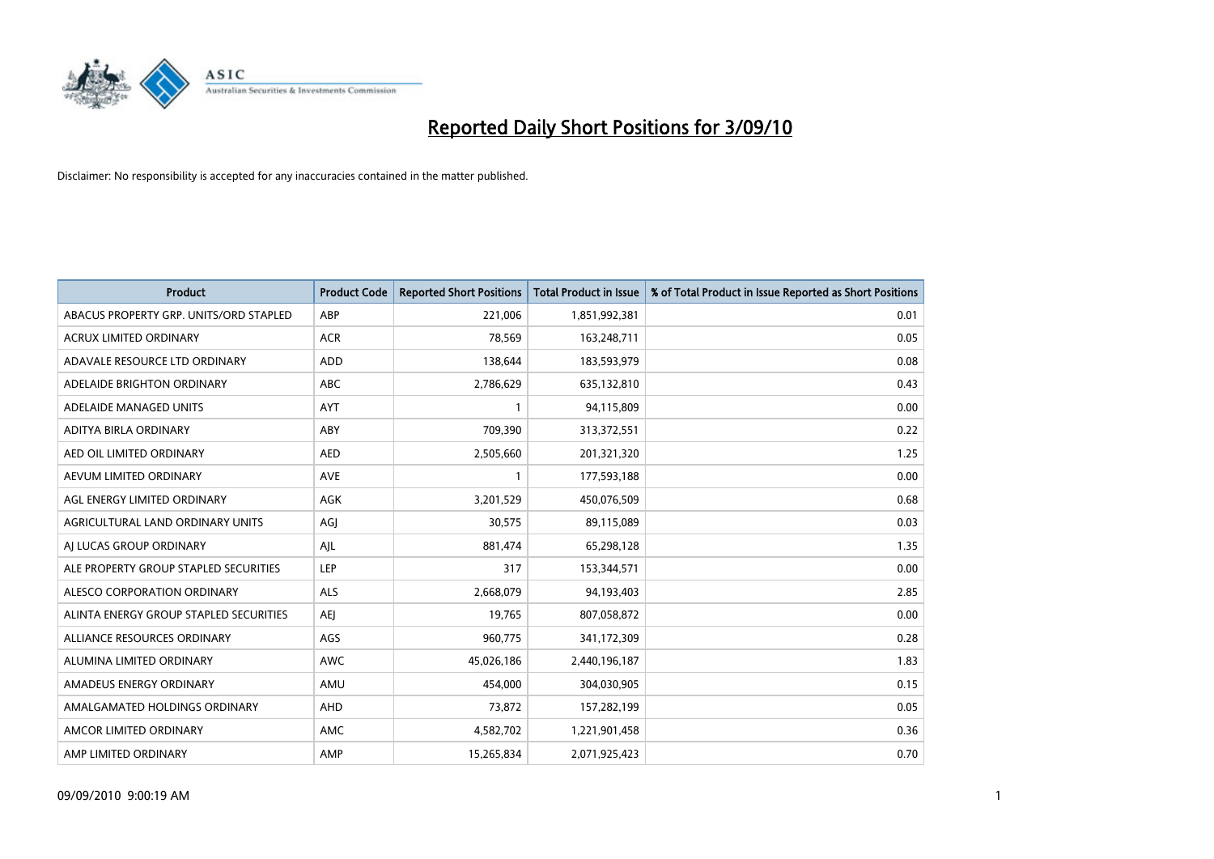

| <b>Product</b>                         | <b>Product Code</b> | <b>Reported Short Positions</b> | <b>Total Product in Issue</b> | % of Total Product in Issue Reported as Short Positions |
|----------------------------------------|---------------------|---------------------------------|-------------------------------|---------------------------------------------------------|
| ABACUS PROPERTY GRP. UNITS/ORD STAPLED | ABP                 | 221,006                         | 1,851,992,381                 | 0.01                                                    |
| ACRUX LIMITED ORDINARY                 | <b>ACR</b>          | 78,569                          | 163,248,711                   | 0.05                                                    |
| ADAVALE RESOURCE LTD ORDINARY          | ADD                 | 138,644                         | 183,593,979                   | 0.08                                                    |
| ADELAIDE BRIGHTON ORDINARY             | <b>ABC</b>          | 2,786,629                       | 635,132,810                   | 0.43                                                    |
| ADELAIDE MANAGED UNITS                 | <b>AYT</b>          |                                 | 94,115,809                    | 0.00                                                    |
| ADITYA BIRLA ORDINARY                  | ABY                 | 709,390                         | 313,372,551                   | 0.22                                                    |
| AED OIL LIMITED ORDINARY               | <b>AED</b>          | 2,505,660                       | 201,321,320                   | 1.25                                                    |
| AEVUM LIMITED ORDINARY                 | <b>AVE</b>          |                                 | 177,593,188                   | 0.00                                                    |
| AGL ENERGY LIMITED ORDINARY            | AGK                 | 3,201,529                       | 450,076,509                   | 0.68                                                    |
| AGRICULTURAL LAND ORDINARY UNITS       | AGJ                 | 30,575                          | 89,115,089                    | 0.03                                                    |
| AJ LUCAS GROUP ORDINARY                | AJL                 | 881,474                         | 65,298,128                    | 1.35                                                    |
| ALE PROPERTY GROUP STAPLED SECURITIES  | <b>LEP</b>          | 317                             | 153,344,571                   | 0.00                                                    |
| ALESCO CORPORATION ORDINARY            | ALS                 | 2,668,079                       | 94,193,403                    | 2.85                                                    |
| ALINTA ENERGY GROUP STAPLED SECURITIES | <b>AEI</b>          | 19,765                          | 807,058,872                   | 0.00                                                    |
| ALLIANCE RESOURCES ORDINARY            | AGS                 | 960,775                         | 341,172,309                   | 0.28                                                    |
| ALUMINA LIMITED ORDINARY               | <b>AWC</b>          | 45,026,186                      | 2,440,196,187                 | 1.83                                                    |
| AMADEUS ENERGY ORDINARY                | AMU                 | 454,000                         | 304,030,905                   | 0.15                                                    |
| AMALGAMATED HOLDINGS ORDINARY          | <b>AHD</b>          | 73,872                          | 157,282,199                   | 0.05                                                    |
| AMCOR LIMITED ORDINARY                 | AMC                 | 4,582,702                       | 1,221,901,458                 | 0.36                                                    |
| AMP LIMITED ORDINARY                   | AMP                 | 15,265,834                      | 2,071,925,423                 | 0.70                                                    |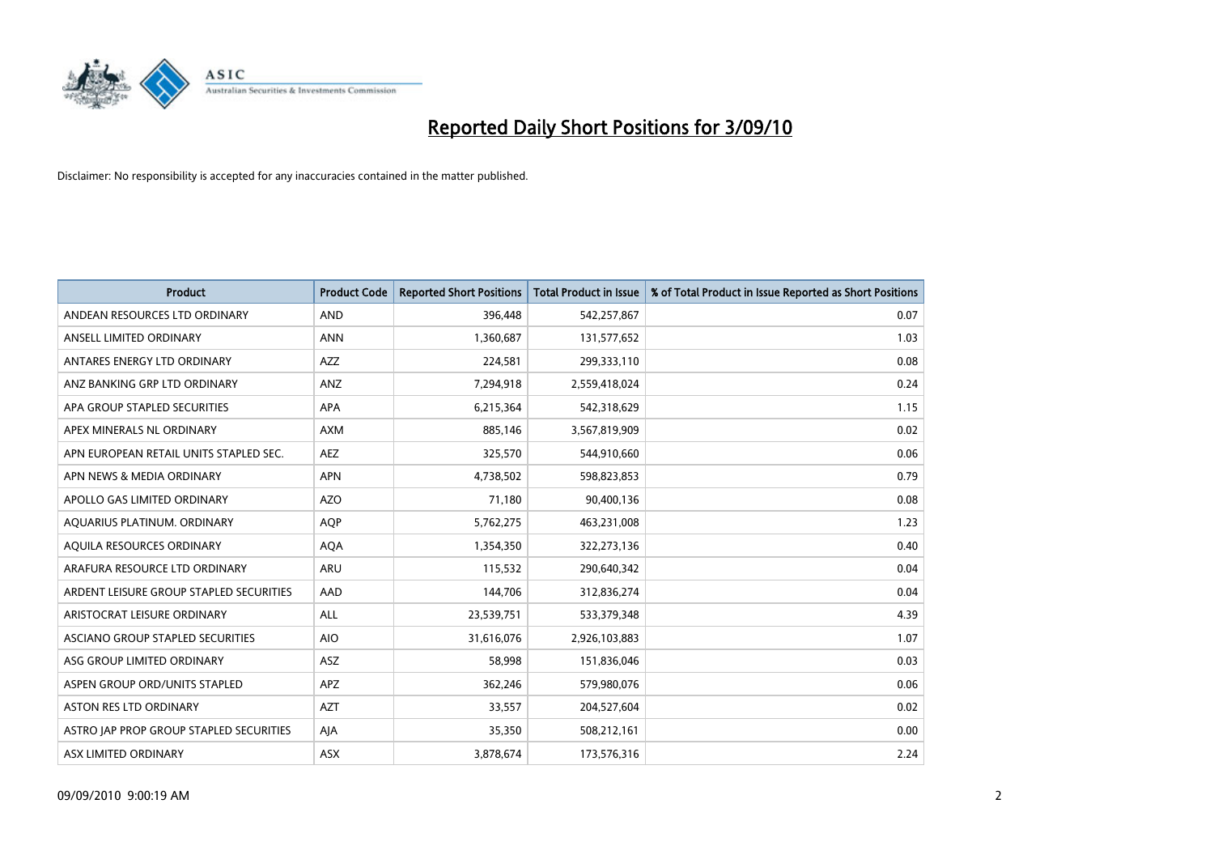

| <b>Product</b>                          | <b>Product Code</b> | <b>Reported Short Positions</b> | Total Product in Issue | % of Total Product in Issue Reported as Short Positions |
|-----------------------------------------|---------------------|---------------------------------|------------------------|---------------------------------------------------------|
| ANDEAN RESOURCES LTD ORDINARY           | <b>AND</b>          | 396,448                         | 542,257,867            | 0.07                                                    |
| ANSELL LIMITED ORDINARY                 | <b>ANN</b>          | 1,360,687                       | 131,577,652            | 1.03                                                    |
| ANTARES ENERGY LTD ORDINARY             | <b>AZZ</b>          | 224,581                         | 299,333,110            | 0.08                                                    |
| ANZ BANKING GRP LTD ORDINARY            | ANZ                 | 7,294,918                       | 2,559,418,024          | 0.24                                                    |
| APA GROUP STAPLED SECURITIES            | <b>APA</b>          | 6,215,364                       | 542,318,629            | 1.15                                                    |
| APEX MINERALS NL ORDINARY               | <b>AXM</b>          | 885,146                         | 3,567,819,909          | 0.02                                                    |
| APN EUROPEAN RETAIL UNITS STAPLED SEC.  | <b>AEZ</b>          | 325,570                         | 544,910,660            | 0.06                                                    |
| APN NEWS & MEDIA ORDINARY               | <b>APN</b>          | 4,738,502                       | 598,823,853            | 0.79                                                    |
| APOLLO GAS LIMITED ORDINARY             | <b>AZO</b>          | 71,180                          | 90,400,136             | 0.08                                                    |
| AQUARIUS PLATINUM. ORDINARY             | <b>AOP</b>          | 5,762,275                       | 463,231,008            | 1.23                                                    |
| AQUILA RESOURCES ORDINARY               | <b>AQA</b>          | 1,354,350                       | 322,273,136            | 0.40                                                    |
| ARAFURA RESOURCE LTD ORDINARY           | <b>ARU</b>          | 115,532                         | 290,640,342            | 0.04                                                    |
| ARDENT LEISURE GROUP STAPLED SECURITIES | AAD                 | 144,706                         | 312,836,274            | 0.04                                                    |
| ARISTOCRAT LEISURE ORDINARY             | ALL                 | 23,539,751                      | 533,379,348            | 4.39                                                    |
| ASCIANO GROUP STAPLED SECURITIES        | <b>AIO</b>          | 31,616,076                      | 2,926,103,883          | 1.07                                                    |
| ASG GROUP LIMITED ORDINARY              | ASZ                 | 58,998                          | 151,836,046            | 0.03                                                    |
| ASPEN GROUP ORD/UNITS STAPLED           | <b>APZ</b>          | 362,246                         | 579,980,076            | 0.06                                                    |
| ASTON RES LTD ORDINARY                  | <b>AZT</b>          | 33,557                          | 204,527,604            | 0.02                                                    |
| ASTRO JAP PROP GROUP STAPLED SECURITIES | AJA                 | 35,350                          | 508,212,161            | 0.00                                                    |
| ASX LIMITED ORDINARY                    | ASX                 | 3,878,674                       | 173,576,316            | 2.24                                                    |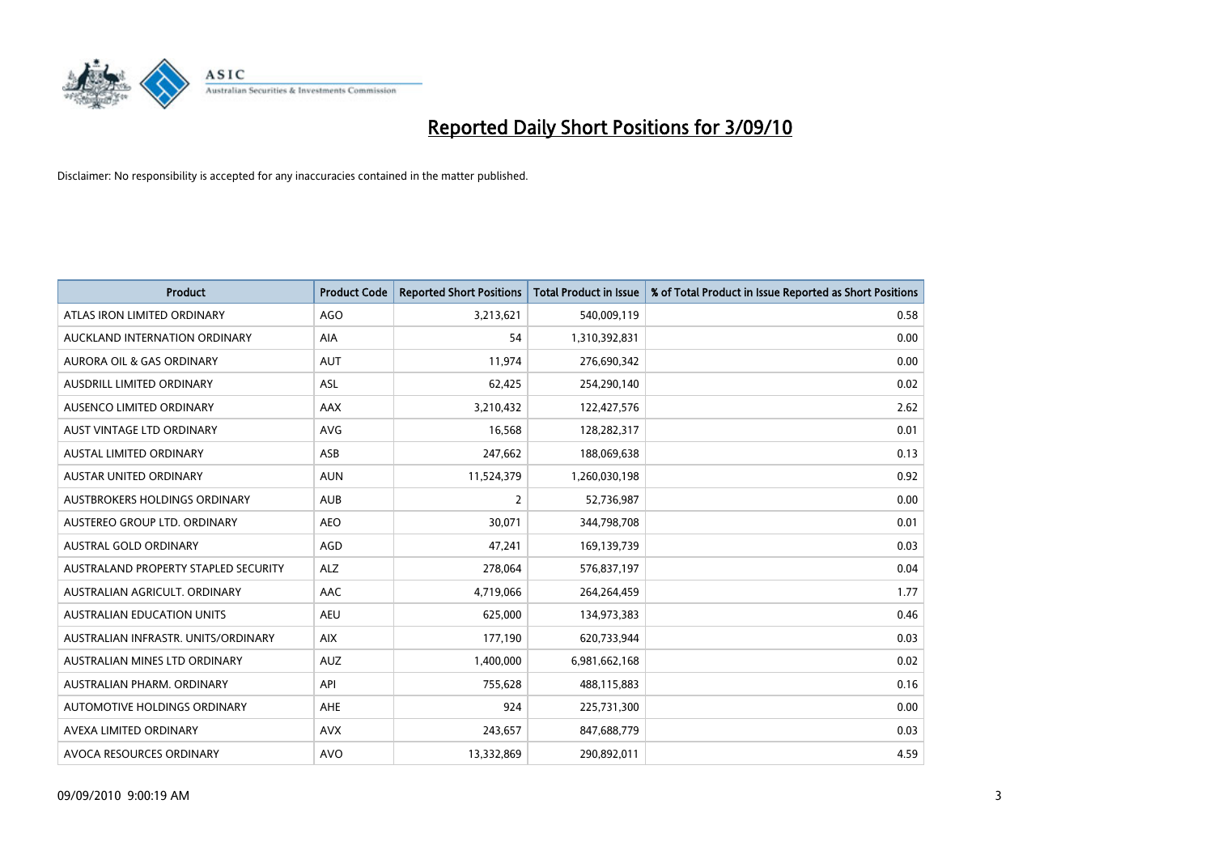

| <b>Product</b>                       | <b>Product Code</b> | <b>Reported Short Positions</b> | <b>Total Product in Issue</b> | % of Total Product in Issue Reported as Short Positions |
|--------------------------------------|---------------------|---------------------------------|-------------------------------|---------------------------------------------------------|
| ATLAS IRON LIMITED ORDINARY          | AGO                 | 3,213,621                       | 540,009,119                   | 0.58                                                    |
| AUCKLAND INTERNATION ORDINARY        | AIA                 | 54                              | 1,310,392,831                 | 0.00                                                    |
| AURORA OIL & GAS ORDINARY            | <b>AUT</b>          | 11,974                          | 276,690,342                   | 0.00                                                    |
| AUSDRILL LIMITED ORDINARY            | <b>ASL</b>          | 62,425                          | 254,290,140                   | 0.02                                                    |
| AUSENCO LIMITED ORDINARY             | AAX                 | 3,210,432                       | 122,427,576                   | 2.62                                                    |
| AUST VINTAGE LTD ORDINARY            | <b>AVG</b>          | 16,568                          | 128,282,317                   | 0.01                                                    |
| <b>AUSTAL LIMITED ORDINARY</b>       | ASB                 | 247,662                         | 188,069,638                   | 0.13                                                    |
| AUSTAR UNITED ORDINARY               | <b>AUN</b>          | 11,524,379                      | 1,260,030,198                 | 0.92                                                    |
| AUSTBROKERS HOLDINGS ORDINARY        | <b>AUB</b>          | $\overline{2}$                  | 52,736,987                    | 0.00                                                    |
| AUSTEREO GROUP LTD. ORDINARY         | <b>AEO</b>          | 30,071                          | 344,798,708                   | 0.01                                                    |
| AUSTRAL GOLD ORDINARY                | AGD                 | 47,241                          | 169,139,739                   | 0.03                                                    |
| AUSTRALAND PROPERTY STAPLED SECURITY | <b>ALZ</b>          | 278,064                         | 576,837,197                   | 0.04                                                    |
| AUSTRALIAN AGRICULT, ORDINARY        | AAC                 | 4,719,066                       | 264,264,459                   | 1.77                                                    |
| <b>AUSTRALIAN EDUCATION UNITS</b>    | <b>AEU</b>          | 625,000                         | 134,973,383                   | 0.46                                                    |
| AUSTRALIAN INFRASTR, UNITS/ORDINARY  | <b>AIX</b>          | 177,190                         | 620,733,944                   | 0.03                                                    |
| AUSTRALIAN MINES LTD ORDINARY        | <b>AUZ</b>          | 1,400,000                       | 6,981,662,168                 | 0.02                                                    |
| AUSTRALIAN PHARM. ORDINARY           | API                 | 755,628                         | 488,115,883                   | 0.16                                                    |
| AUTOMOTIVE HOLDINGS ORDINARY         | <b>AHE</b>          | 924                             | 225,731,300                   | 0.00                                                    |
| AVEXA LIMITED ORDINARY               | <b>AVX</b>          | 243,657                         | 847,688,779                   | 0.03                                                    |
| AVOCA RESOURCES ORDINARY             | <b>AVO</b>          | 13,332,869                      | 290,892,011                   | 4.59                                                    |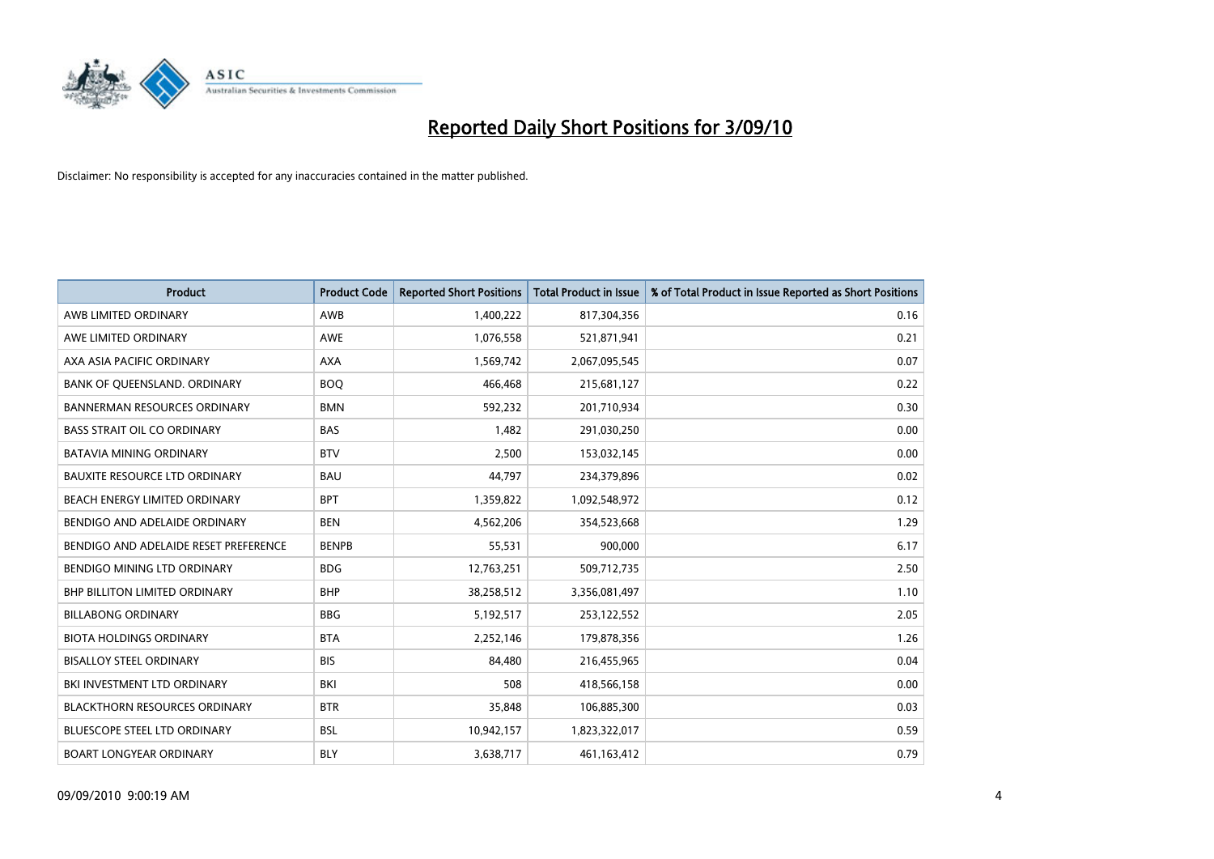

| <b>Product</b>                        | <b>Product Code</b> | <b>Reported Short Positions</b> | Total Product in Issue | % of Total Product in Issue Reported as Short Positions |
|---------------------------------------|---------------------|---------------------------------|------------------------|---------------------------------------------------------|
| AWB LIMITED ORDINARY                  | <b>AWB</b>          | 1,400,222                       | 817,304,356            | 0.16                                                    |
| AWE LIMITED ORDINARY                  | <b>AWE</b>          | 1,076,558                       | 521,871,941            | 0.21                                                    |
| AXA ASIA PACIFIC ORDINARY             | <b>AXA</b>          | 1,569,742                       | 2,067,095,545          | 0.07                                                    |
| BANK OF QUEENSLAND. ORDINARY          | <b>BOO</b>          | 466,468                         | 215,681,127            | 0.22                                                    |
| <b>BANNERMAN RESOURCES ORDINARY</b>   | <b>BMN</b>          | 592,232                         | 201,710,934            | 0.30                                                    |
| <b>BASS STRAIT OIL CO ORDINARY</b>    | <b>BAS</b>          | 1,482                           | 291,030,250            | 0.00                                                    |
| <b>BATAVIA MINING ORDINARY</b>        | <b>BTV</b>          | 2.500                           | 153,032,145            | 0.00                                                    |
| <b>BAUXITE RESOURCE LTD ORDINARY</b>  | <b>BAU</b>          | 44,797                          | 234,379,896            | 0.02                                                    |
| BEACH ENERGY LIMITED ORDINARY         | <b>BPT</b>          | 1,359,822                       | 1,092,548,972          | 0.12                                                    |
| BENDIGO AND ADELAIDE ORDINARY         | <b>BEN</b>          | 4,562,206                       | 354,523,668            | 1.29                                                    |
| BENDIGO AND ADELAIDE RESET PREFERENCE | <b>BENPB</b>        | 55,531                          | 900,000                | 6.17                                                    |
| BENDIGO MINING LTD ORDINARY           | <b>BDG</b>          | 12,763,251                      | 509,712,735            | 2.50                                                    |
| <b>BHP BILLITON LIMITED ORDINARY</b>  | <b>BHP</b>          | 38,258,512                      | 3,356,081,497          | 1.10                                                    |
| <b>BILLABONG ORDINARY</b>             | <b>BBG</b>          | 5,192,517                       | 253,122,552            | 2.05                                                    |
| <b>BIOTA HOLDINGS ORDINARY</b>        | <b>BTA</b>          | 2,252,146                       | 179,878,356            | 1.26                                                    |
| <b>BISALLOY STEEL ORDINARY</b>        | <b>BIS</b>          | 84.480                          | 216,455,965            | 0.04                                                    |
| BKI INVESTMENT LTD ORDINARY           | BKI                 | 508                             | 418,566,158            | 0.00                                                    |
| <b>BLACKTHORN RESOURCES ORDINARY</b>  | <b>BTR</b>          | 35,848                          | 106,885,300            | 0.03                                                    |
| <b>BLUESCOPE STEEL LTD ORDINARY</b>   | <b>BSL</b>          | 10,942,157                      | 1,823,322,017          | 0.59                                                    |
| <b>BOART LONGYEAR ORDINARY</b>        | <b>BLY</b>          | 3,638,717                       | 461,163,412            | 0.79                                                    |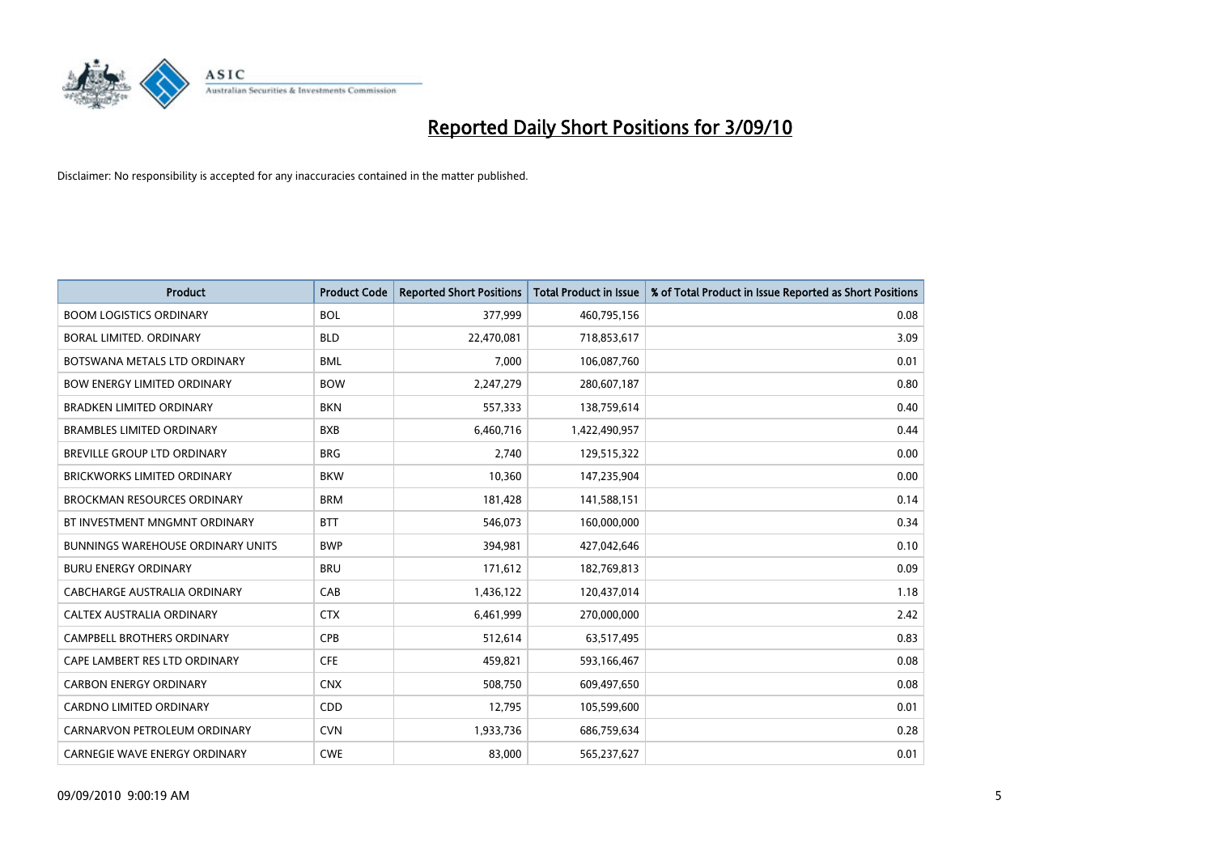

| <b>Product</b>                           | <b>Product Code</b> | <b>Reported Short Positions</b> | <b>Total Product in Issue</b> | % of Total Product in Issue Reported as Short Positions |
|------------------------------------------|---------------------|---------------------------------|-------------------------------|---------------------------------------------------------|
| <b>BOOM LOGISTICS ORDINARY</b>           | <b>BOL</b>          | 377,999                         | 460,795,156                   | 0.08                                                    |
| BORAL LIMITED. ORDINARY                  | <b>BLD</b>          | 22,470,081                      | 718,853,617                   | 3.09                                                    |
| BOTSWANA METALS LTD ORDINARY             | <b>BML</b>          | 7,000                           | 106,087,760                   | 0.01                                                    |
| <b>BOW ENERGY LIMITED ORDINARY</b>       | <b>BOW</b>          | 2,247,279                       | 280,607,187                   | 0.80                                                    |
| <b>BRADKEN LIMITED ORDINARY</b>          | <b>BKN</b>          | 557,333                         | 138,759,614                   | 0.40                                                    |
| <b>BRAMBLES LIMITED ORDINARY</b>         | <b>BXB</b>          | 6,460,716                       | 1,422,490,957                 | 0.44                                                    |
| <b>BREVILLE GROUP LTD ORDINARY</b>       | <b>BRG</b>          | 2.740                           | 129,515,322                   | 0.00                                                    |
| <b>BRICKWORKS LIMITED ORDINARY</b>       | <b>BKW</b>          | 10,360                          | 147,235,904                   | 0.00                                                    |
| <b>BROCKMAN RESOURCES ORDINARY</b>       | <b>BRM</b>          | 181,428                         | 141,588,151                   | 0.14                                                    |
| BT INVESTMENT MNGMNT ORDINARY            | <b>BTT</b>          | 546,073                         | 160,000,000                   | 0.34                                                    |
| <b>BUNNINGS WAREHOUSE ORDINARY UNITS</b> | <b>BWP</b>          | 394,981                         | 427,042,646                   | 0.10                                                    |
| <b>BURU ENERGY ORDINARY</b>              | <b>BRU</b>          | 171,612                         | 182,769,813                   | 0.09                                                    |
| CABCHARGE AUSTRALIA ORDINARY             | CAB                 | 1,436,122                       | 120,437,014                   | 1.18                                                    |
| CALTEX AUSTRALIA ORDINARY                | <b>CTX</b>          | 6,461,999                       | 270,000,000                   | 2.42                                                    |
| <b>CAMPBELL BROTHERS ORDINARY</b>        | <b>CPB</b>          | 512,614                         | 63,517,495                    | 0.83                                                    |
| CAPE LAMBERT RES LTD ORDINARY            | <b>CFE</b>          | 459,821                         | 593,166,467                   | 0.08                                                    |
| <b>CARBON ENERGY ORDINARY</b>            | <b>CNX</b>          | 508,750                         | 609,497,650                   | 0.08                                                    |
| <b>CARDNO LIMITED ORDINARY</b>           | <b>CDD</b>          | 12,795                          | 105,599,600                   | 0.01                                                    |
| CARNARVON PETROLEUM ORDINARY             | <b>CVN</b>          | 1,933,736                       | 686,759,634                   | 0.28                                                    |
| <b>CARNEGIE WAVE ENERGY ORDINARY</b>     | <b>CWE</b>          | 83.000                          | 565,237,627                   | 0.01                                                    |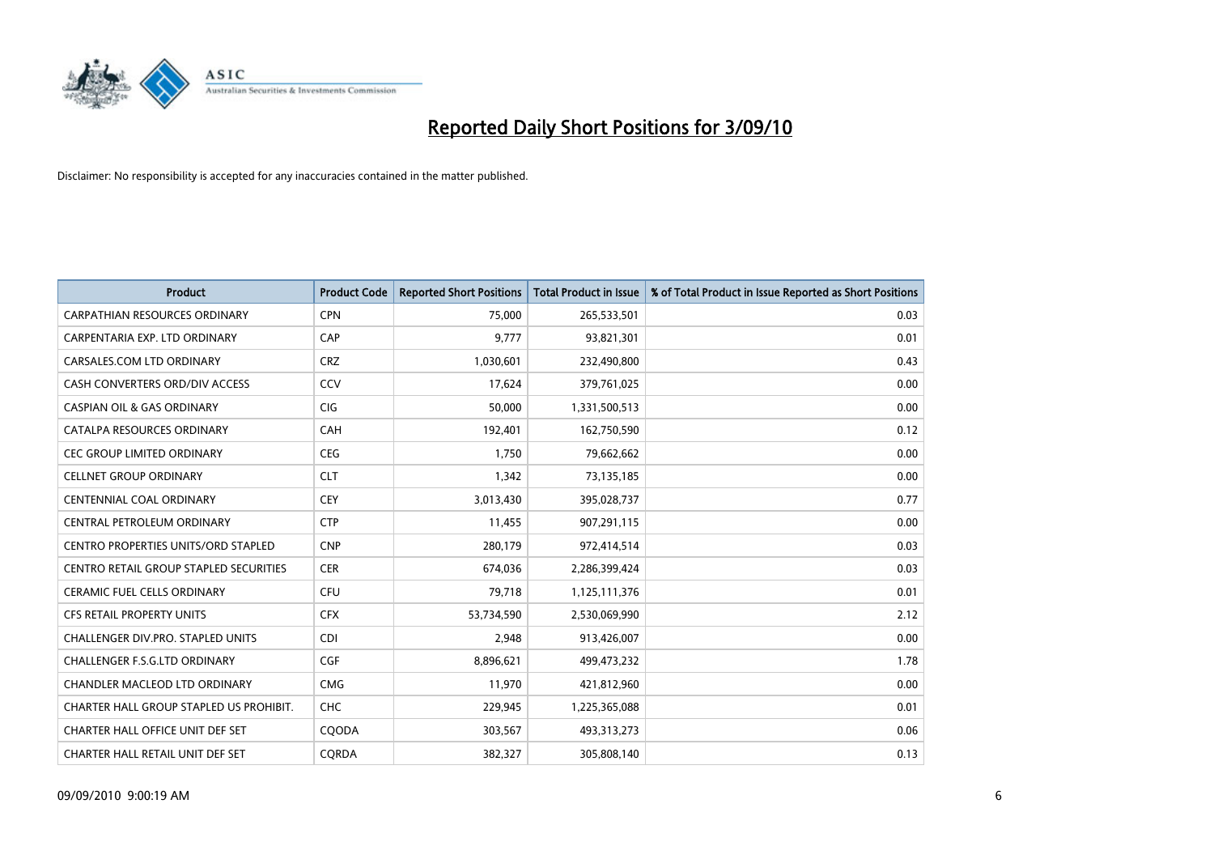

| <b>Product</b>                                | <b>Product Code</b> | <b>Reported Short Positions</b> | Total Product in Issue | % of Total Product in Issue Reported as Short Positions |
|-----------------------------------------------|---------------------|---------------------------------|------------------------|---------------------------------------------------------|
| <b>CARPATHIAN RESOURCES ORDINARY</b>          | <b>CPN</b>          | 75,000                          | 265,533,501            | 0.03                                                    |
| CARPENTARIA EXP. LTD ORDINARY                 | CAP                 | 9,777                           | 93,821,301             | 0.01                                                    |
| CARSALES.COM LTD ORDINARY                     | <b>CRZ</b>          | 1,030,601                       | 232,490,800            | 0.43                                                    |
| CASH CONVERTERS ORD/DIV ACCESS                | CCV                 | 17,624                          | 379,761,025            | 0.00                                                    |
| <b>CASPIAN OIL &amp; GAS ORDINARY</b>         | <b>CIG</b>          | 50.000                          | 1,331,500,513          | 0.00                                                    |
| CATALPA RESOURCES ORDINARY                    | CAH                 | 192,401                         | 162,750,590            | 0.12                                                    |
| <b>CEC GROUP LIMITED ORDINARY</b>             | <b>CEG</b>          | 1.750                           | 79,662,662             | 0.00                                                    |
| <b>CELLNET GROUP ORDINARY</b>                 | <b>CLT</b>          | 1,342                           | 73,135,185             | 0.00                                                    |
| <b>CENTENNIAL COAL ORDINARY</b>               | <b>CEY</b>          | 3,013,430                       | 395,028,737            | 0.77                                                    |
| CENTRAL PETROLEUM ORDINARY                    | <b>CTP</b>          | 11,455                          | 907,291,115            | 0.00                                                    |
| <b>CENTRO PROPERTIES UNITS/ORD STAPLED</b>    | <b>CNP</b>          | 280,179                         | 972,414,514            | 0.03                                                    |
| <b>CENTRO RETAIL GROUP STAPLED SECURITIES</b> | <b>CER</b>          | 674,036                         | 2,286,399,424          | 0.03                                                    |
| <b>CERAMIC FUEL CELLS ORDINARY</b>            | <b>CFU</b>          | 79,718                          | 1,125,111,376          | 0.01                                                    |
| <b>CFS RETAIL PROPERTY UNITS</b>              | <b>CFX</b>          | 53,734,590                      | 2,530,069,990          | 2.12                                                    |
| CHALLENGER DIV.PRO. STAPLED UNITS             | <b>CDI</b>          | 2,948                           | 913,426,007            | 0.00                                                    |
| <b>CHALLENGER F.S.G.LTD ORDINARY</b>          | CGF                 | 8,896,621                       | 499,473,232            | 1.78                                                    |
| <b>CHANDLER MACLEOD LTD ORDINARY</b>          | <b>CMG</b>          | 11,970                          | 421,812,960            | 0.00                                                    |
| CHARTER HALL GROUP STAPLED US PROHIBIT.       | CHC                 | 229,945                         | 1,225,365,088          | 0.01                                                    |
| CHARTER HALL OFFICE UNIT DEF SET              | COODA               | 303,567                         | 493,313,273            | 0.06                                                    |
| CHARTER HALL RETAIL UNIT DEF SET              | CORDA               | 382,327                         | 305,808,140            | 0.13                                                    |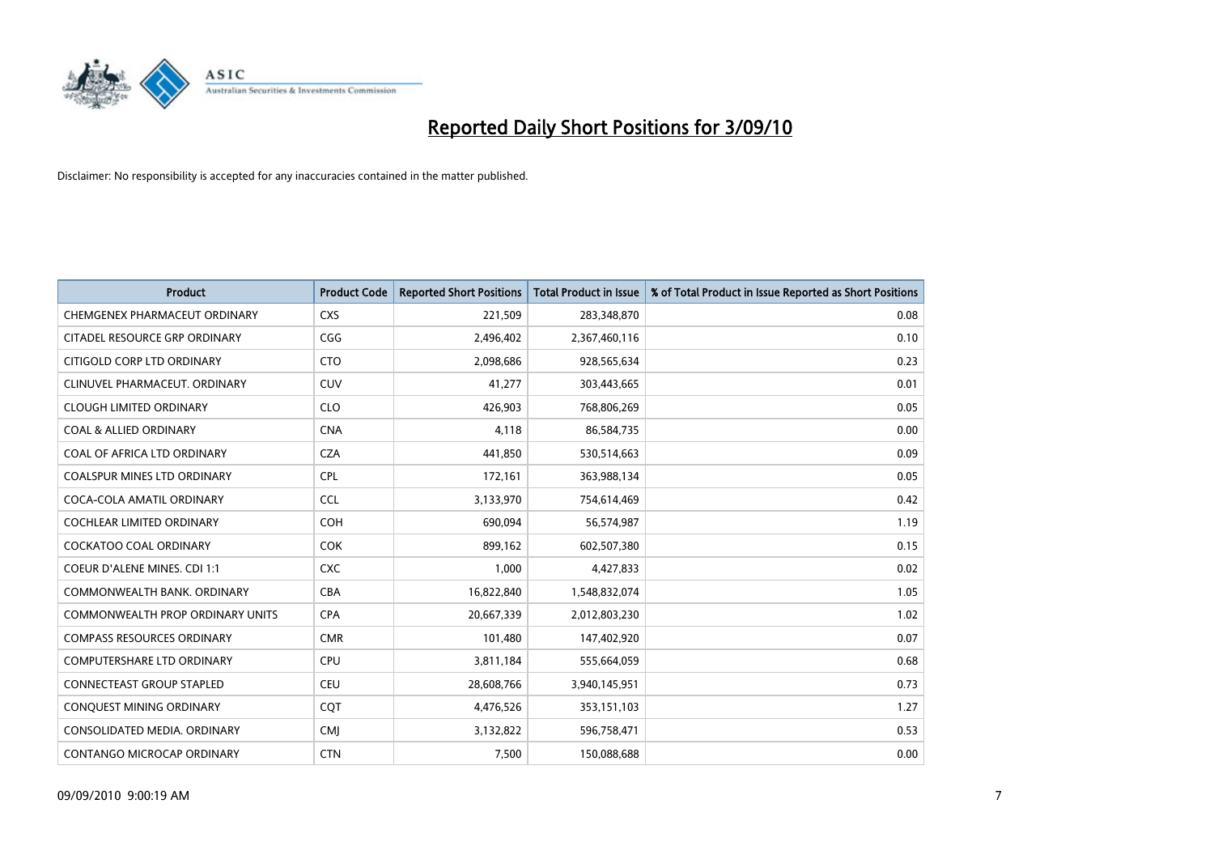

| <b>Product</b>                          | <b>Product Code</b> | <b>Reported Short Positions</b> | <b>Total Product in Issue</b> | % of Total Product in Issue Reported as Short Positions |
|-----------------------------------------|---------------------|---------------------------------|-------------------------------|---------------------------------------------------------|
| CHEMGENEX PHARMACEUT ORDINARY           | <b>CXS</b>          | 221,509                         | 283,348,870                   | 0.08                                                    |
| CITADEL RESOURCE GRP ORDINARY           | CGG                 | 2,496,402                       | 2,367,460,116                 | 0.10                                                    |
| CITIGOLD CORP LTD ORDINARY              | <b>CTO</b>          | 2,098,686                       | 928,565,634                   | 0.23                                                    |
| CLINUVEL PHARMACEUT. ORDINARY           | <b>CUV</b>          | 41,277                          | 303,443,665                   | 0.01                                                    |
| <b>CLOUGH LIMITED ORDINARY</b>          | <b>CLO</b>          | 426,903                         | 768,806,269                   | 0.05                                                    |
| <b>COAL &amp; ALLIED ORDINARY</b>       | <b>CNA</b>          | 4,118                           | 86,584,735                    | 0.00                                                    |
| COAL OF AFRICA LTD ORDINARY             | <b>CZA</b>          | 441,850                         | 530,514,663                   | 0.09                                                    |
| <b>COALSPUR MINES LTD ORDINARY</b>      | <b>CPL</b>          | 172,161                         | 363,988,134                   | 0.05                                                    |
| COCA-COLA AMATIL ORDINARY               | <b>CCL</b>          | 3,133,970                       | 754,614,469                   | 0.42                                                    |
| <b>COCHLEAR LIMITED ORDINARY</b>        | <b>COH</b>          | 690,094                         | 56,574,987                    | 1.19                                                    |
| COCKATOO COAL ORDINARY                  | <b>COK</b>          | 899,162                         | 602,507,380                   | 0.15                                                    |
| <b>COEUR D'ALENE MINES. CDI 1:1</b>     | <b>CXC</b>          | 1.000                           | 4,427,833                     | 0.02                                                    |
| COMMONWEALTH BANK, ORDINARY             | <b>CBA</b>          | 16,822,840                      | 1,548,832,074                 | 1.05                                                    |
| <b>COMMONWEALTH PROP ORDINARY UNITS</b> | <b>CPA</b>          | 20,667,339                      | 2,012,803,230                 | 1.02                                                    |
| <b>COMPASS RESOURCES ORDINARY</b>       | <b>CMR</b>          | 101,480                         | 147,402,920                   | 0.07                                                    |
| COMPUTERSHARE LTD ORDINARY              | <b>CPU</b>          | 3,811,184                       | 555,664,059                   | 0.68                                                    |
| CONNECTEAST GROUP STAPLED               | <b>CEU</b>          | 28,608,766                      | 3,940,145,951                 | 0.73                                                    |
| CONQUEST MINING ORDINARY                | CQT                 | 4,476,526                       | 353,151,103                   | 1.27                                                    |
| CONSOLIDATED MEDIA, ORDINARY            | <b>CMI</b>          | 3,132,822                       | 596,758,471                   | 0.53                                                    |
| CONTANGO MICROCAP ORDINARY              | <b>CTN</b>          | 7,500                           | 150,088,688                   | 0.00                                                    |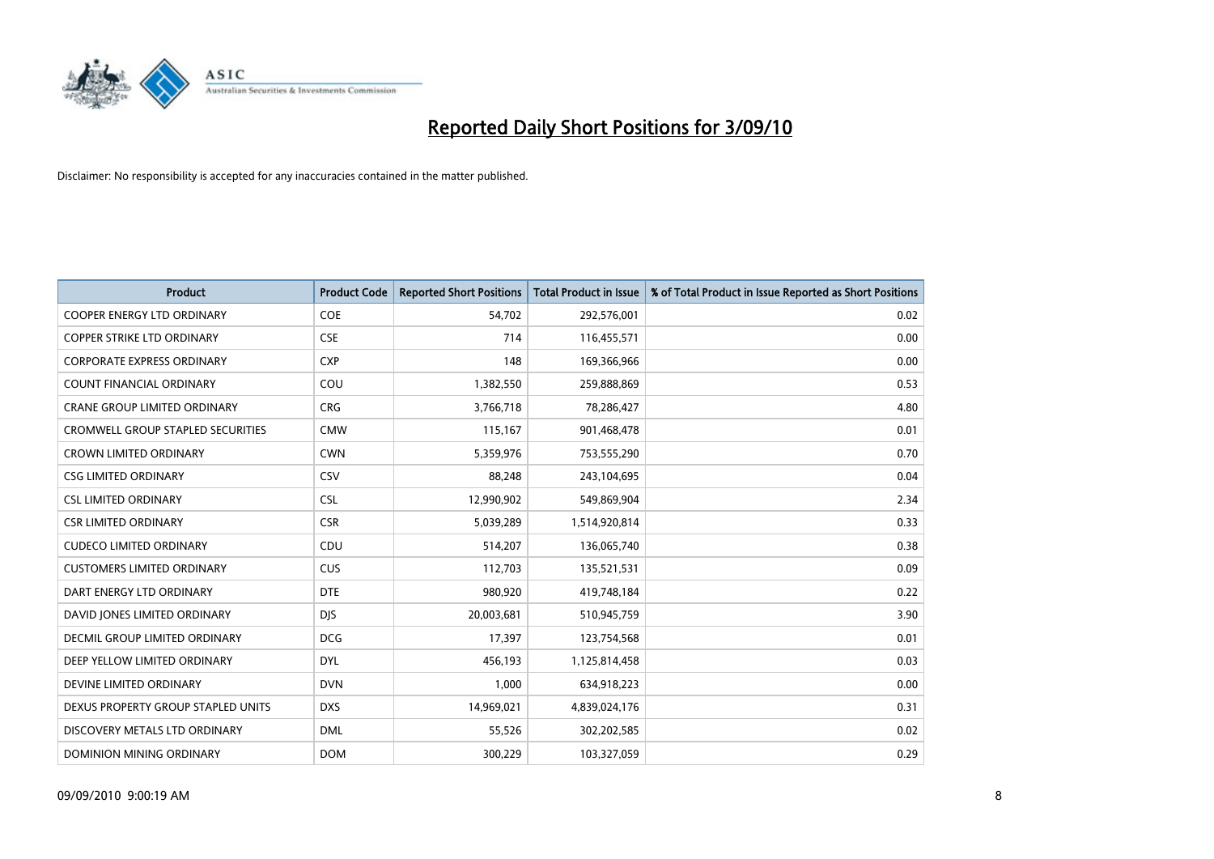

| <b>Product</b>                           | <b>Product Code</b> | <b>Reported Short Positions</b> | <b>Total Product in Issue</b> | % of Total Product in Issue Reported as Short Positions |
|------------------------------------------|---------------------|---------------------------------|-------------------------------|---------------------------------------------------------|
| <b>COOPER ENERGY LTD ORDINARY</b>        | <b>COE</b>          | 54.702                          | 292,576,001                   | 0.02                                                    |
| <b>COPPER STRIKE LTD ORDINARY</b>        | <b>CSE</b>          | 714                             | 116,455,571                   | 0.00                                                    |
| <b>CORPORATE EXPRESS ORDINARY</b>        | <b>CXP</b>          | 148                             | 169,366,966                   | 0.00                                                    |
| COUNT FINANCIAL ORDINARY                 | COU                 | 1,382,550                       | 259,888,869                   | 0.53                                                    |
| <b>CRANE GROUP LIMITED ORDINARY</b>      | <b>CRG</b>          | 3,766,718                       | 78,286,427                    | 4.80                                                    |
| <b>CROMWELL GROUP STAPLED SECURITIES</b> | <b>CMW</b>          | 115,167                         | 901,468,478                   | 0.01                                                    |
| <b>CROWN LIMITED ORDINARY</b>            | <b>CWN</b>          | 5,359,976                       | 753,555,290                   | 0.70                                                    |
| <b>CSG LIMITED ORDINARY</b>              | CSV                 | 88.248                          | 243,104,695                   | 0.04                                                    |
| <b>CSL LIMITED ORDINARY</b>              | <b>CSL</b>          | 12,990,902                      | 549,869,904                   | 2.34                                                    |
| <b>CSR LIMITED ORDINARY</b>              | <b>CSR</b>          | 5,039,289                       | 1,514,920,814                 | 0.33                                                    |
| <b>CUDECO LIMITED ORDINARY</b>           | CDU                 | 514,207                         | 136,065,740                   | 0.38                                                    |
| <b>CUSTOMERS LIMITED ORDINARY</b>        | CUS                 | 112,703                         | 135,521,531                   | 0.09                                                    |
| DART ENERGY LTD ORDINARY                 | <b>DTE</b>          | 980,920                         | 419,748,184                   | 0.22                                                    |
| DAVID JONES LIMITED ORDINARY             | <b>DJS</b>          | 20,003,681                      | 510,945,759                   | 3.90                                                    |
| DECMIL GROUP LIMITED ORDINARY            | <b>DCG</b>          | 17.397                          | 123,754,568                   | 0.01                                                    |
| DEEP YELLOW LIMITED ORDINARY             | <b>DYL</b>          | 456,193                         | 1,125,814,458                 | 0.03                                                    |
| DEVINE LIMITED ORDINARY                  | <b>DVN</b>          | 1,000                           | 634,918,223                   | 0.00                                                    |
| DEXUS PROPERTY GROUP STAPLED UNITS       | <b>DXS</b>          | 14,969,021                      | 4,839,024,176                 | 0.31                                                    |
| DISCOVERY METALS LTD ORDINARY            | <b>DML</b>          | 55,526                          | 302,202,585                   | 0.02                                                    |
| DOMINION MINING ORDINARY                 | <b>DOM</b>          | 300,229                         | 103,327,059                   | 0.29                                                    |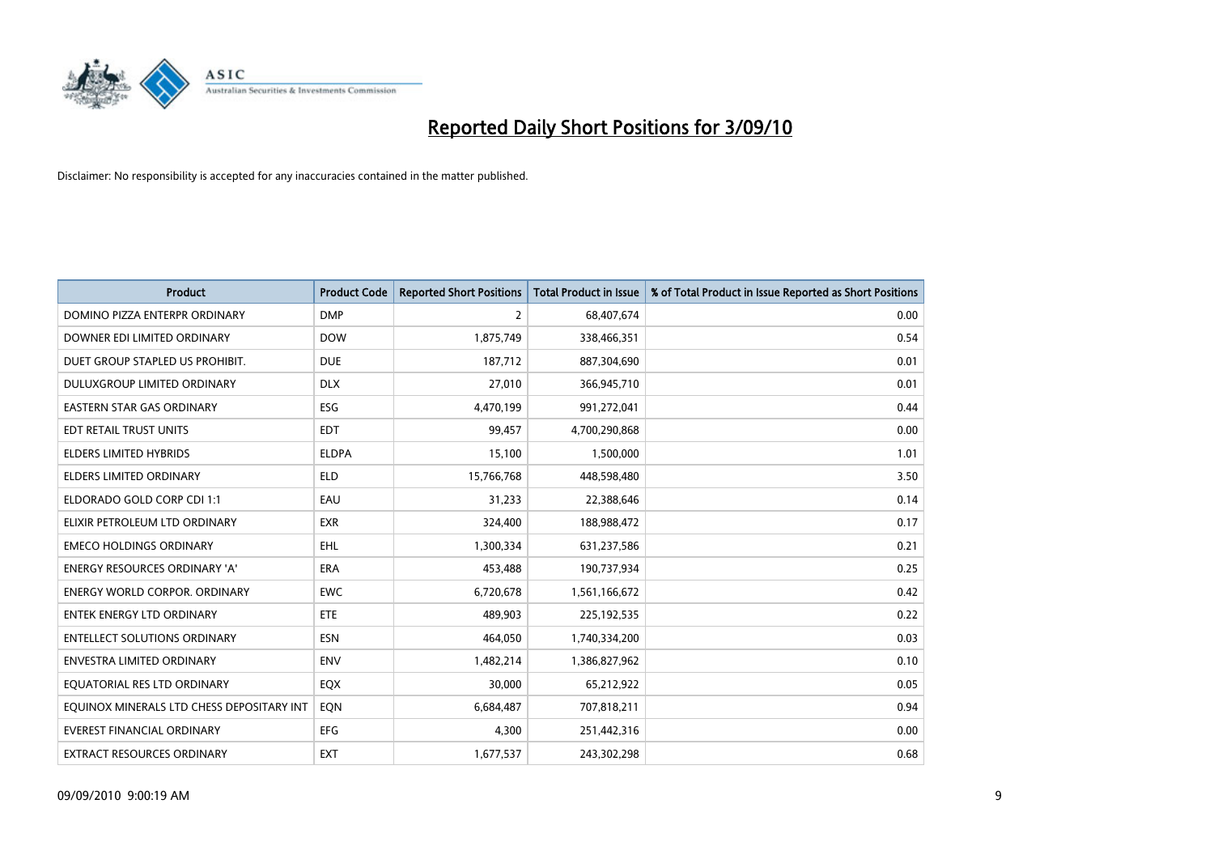

| <b>Product</b>                            | <b>Product Code</b> | <b>Reported Short Positions</b> | <b>Total Product in Issue</b> | % of Total Product in Issue Reported as Short Positions |
|-------------------------------------------|---------------------|---------------------------------|-------------------------------|---------------------------------------------------------|
| DOMINO PIZZA ENTERPR ORDINARY             | <b>DMP</b>          | $\overline{2}$                  | 68,407,674                    | 0.00                                                    |
| DOWNER EDI LIMITED ORDINARY               | <b>DOW</b>          | 1,875,749                       | 338,466,351                   | 0.54                                                    |
| DUET GROUP STAPLED US PROHIBIT.           | <b>DUE</b>          | 187,712                         | 887,304,690                   | 0.01                                                    |
| DULUXGROUP LIMITED ORDINARY               | <b>DLX</b>          | 27,010                          | 366,945,710                   | 0.01                                                    |
| <b>EASTERN STAR GAS ORDINARY</b>          | <b>ESG</b>          | 4,470,199                       | 991,272,041                   | 0.44                                                    |
| EDT RETAIL TRUST UNITS                    | <b>EDT</b>          | 99,457                          | 4,700,290,868                 | 0.00                                                    |
| <b>ELDERS LIMITED HYBRIDS</b>             | <b>ELDPA</b>        | 15.100                          | 1,500,000                     | 1.01                                                    |
| ELDERS LIMITED ORDINARY                   | <b>ELD</b>          | 15,766,768                      | 448,598,480                   | 3.50                                                    |
| ELDORADO GOLD CORP CDI 1:1                | EAU                 | 31,233                          | 22,388,646                    | 0.14                                                    |
| ELIXIR PETROLEUM LTD ORDINARY             | <b>EXR</b>          | 324,400                         | 188,988,472                   | 0.17                                                    |
| <b>EMECO HOLDINGS ORDINARY</b>            | EHL                 | 1,300,334                       | 631,237,586                   | 0.21                                                    |
| <b>ENERGY RESOURCES ORDINARY 'A'</b>      | <b>ERA</b>          | 453,488                         | 190,737,934                   | 0.25                                                    |
| <b>ENERGY WORLD CORPOR, ORDINARY</b>      | <b>EWC</b>          | 6,720,678                       | 1,561,166,672                 | 0.42                                                    |
| <b>ENTEK ENERGY LTD ORDINARY</b>          | ETE                 | 489,903                         | 225,192,535                   | 0.22                                                    |
| <b>ENTELLECT SOLUTIONS ORDINARY</b>       | <b>ESN</b>          | 464.050                         | 1,740,334,200                 | 0.03                                                    |
| ENVESTRA LIMITED ORDINARY                 | <b>ENV</b>          | 1,482,214                       | 1,386,827,962                 | 0.10                                                    |
| EQUATORIAL RES LTD ORDINARY               | <b>EQX</b>          | 30,000                          | 65,212,922                    | 0.05                                                    |
| EQUINOX MINERALS LTD CHESS DEPOSITARY INT | EQN                 | 6,684,487                       | 707,818,211                   | 0.94                                                    |
| <b>EVEREST FINANCIAL ORDINARY</b>         | <b>EFG</b>          | 4.300                           | 251,442,316                   | 0.00                                                    |
| <b>EXTRACT RESOURCES ORDINARY</b>         | <b>EXT</b>          | 1,677,537                       | 243,302,298                   | 0.68                                                    |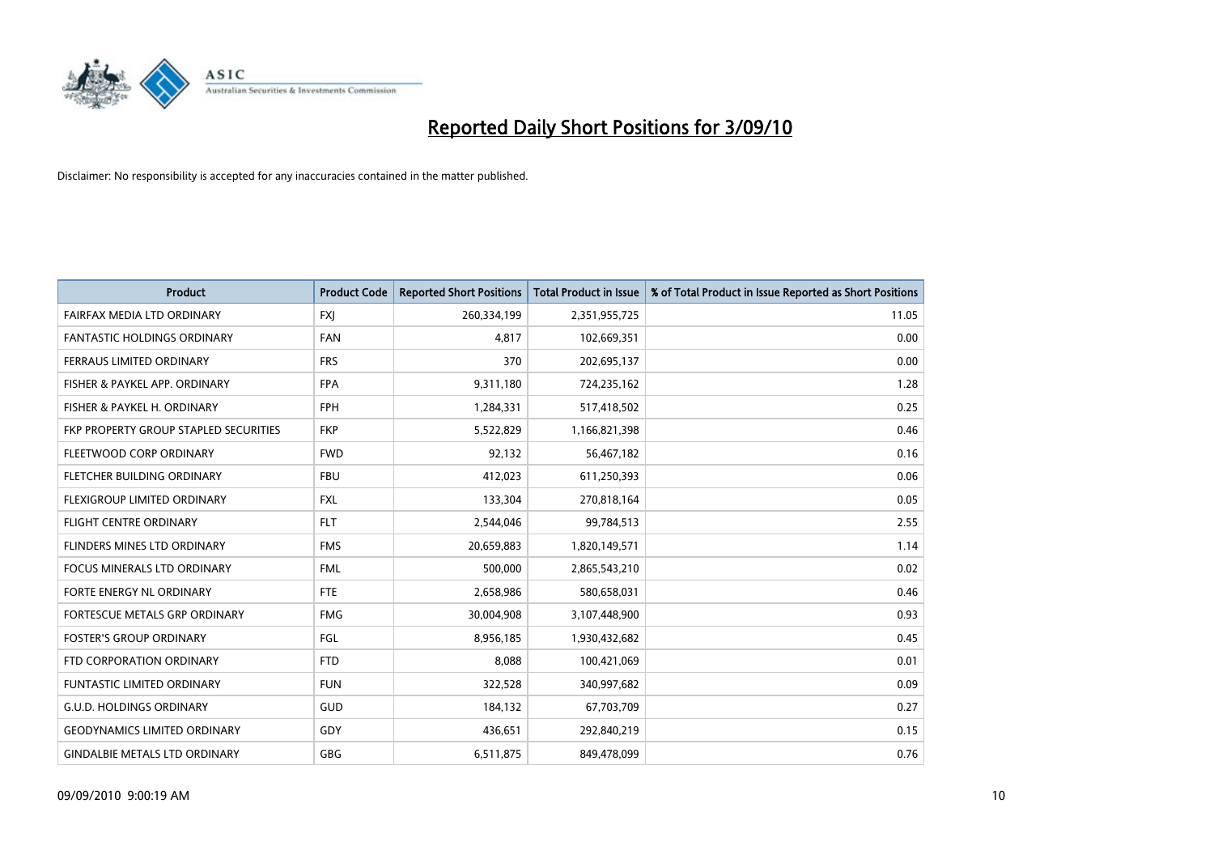

| <b>Product</b>                        | <b>Product Code</b> | <b>Reported Short Positions</b> | <b>Total Product in Issue</b> | % of Total Product in Issue Reported as Short Positions |
|---------------------------------------|---------------------|---------------------------------|-------------------------------|---------------------------------------------------------|
| FAIRFAX MEDIA LTD ORDINARY            | <b>FXJ</b>          | 260,334,199                     | 2,351,955,725                 | 11.05                                                   |
| FANTASTIC HOLDINGS ORDINARY           | <b>FAN</b>          | 4,817                           | 102,669,351                   | 0.00                                                    |
| <b>FERRAUS LIMITED ORDINARY</b>       | <b>FRS</b>          | 370                             | 202,695,137                   | 0.00                                                    |
| FISHER & PAYKEL APP. ORDINARY         | <b>FPA</b>          | 9,311,180                       | 724,235,162                   | 1.28                                                    |
| FISHER & PAYKEL H. ORDINARY           | <b>FPH</b>          | 1,284,331                       | 517,418,502                   | 0.25                                                    |
| FKP PROPERTY GROUP STAPLED SECURITIES | <b>FKP</b>          | 5,522,829                       | 1,166,821,398                 | 0.46                                                    |
| FLEETWOOD CORP ORDINARY               | <b>FWD</b>          | 92,132                          | 56,467,182                    | 0.16                                                    |
| <b>FLETCHER BUILDING ORDINARY</b>     | <b>FBU</b>          | 412,023                         | 611,250,393                   | 0.06                                                    |
| FLEXIGROUP LIMITED ORDINARY           | <b>FXL</b>          | 133,304                         | 270,818,164                   | 0.05                                                    |
| <b>FLIGHT CENTRE ORDINARY</b>         | <b>FLT</b>          | 2,544,046                       | 99,784,513                    | 2.55                                                    |
| <b>FLINDERS MINES LTD ORDINARY</b>    | <b>FMS</b>          | 20,659,883                      | 1,820,149,571                 | 1.14                                                    |
| <b>FOCUS MINERALS LTD ORDINARY</b>    | <b>FML</b>          | 500,000                         | 2,865,543,210                 | 0.02                                                    |
| FORTE ENERGY NL ORDINARY              | <b>FTE</b>          | 2,658,986                       | 580,658,031                   | 0.46                                                    |
| FORTESCUE METALS GRP ORDINARY         | <b>FMG</b>          | 30,004,908                      | 3,107,448,900                 | 0.93                                                    |
| <b>FOSTER'S GROUP ORDINARY</b>        | FGL                 | 8,956,185                       | 1,930,432,682                 | 0.45                                                    |
| FTD CORPORATION ORDINARY              | <b>FTD</b>          | 8.088                           | 100,421,069                   | 0.01                                                    |
| <b>FUNTASTIC LIMITED ORDINARY</b>     | <b>FUN</b>          | 322,528                         | 340,997,682                   | 0.09                                                    |
| <b>G.U.D. HOLDINGS ORDINARY</b>       | <b>GUD</b>          | 184,132                         | 67,703,709                    | 0.27                                                    |
| <b>GEODYNAMICS LIMITED ORDINARY</b>   | GDY                 | 436,651                         | 292,840,219                   | 0.15                                                    |
| <b>GINDALBIE METALS LTD ORDINARY</b>  | <b>GBG</b>          | 6,511,875                       | 849,478,099                   | 0.76                                                    |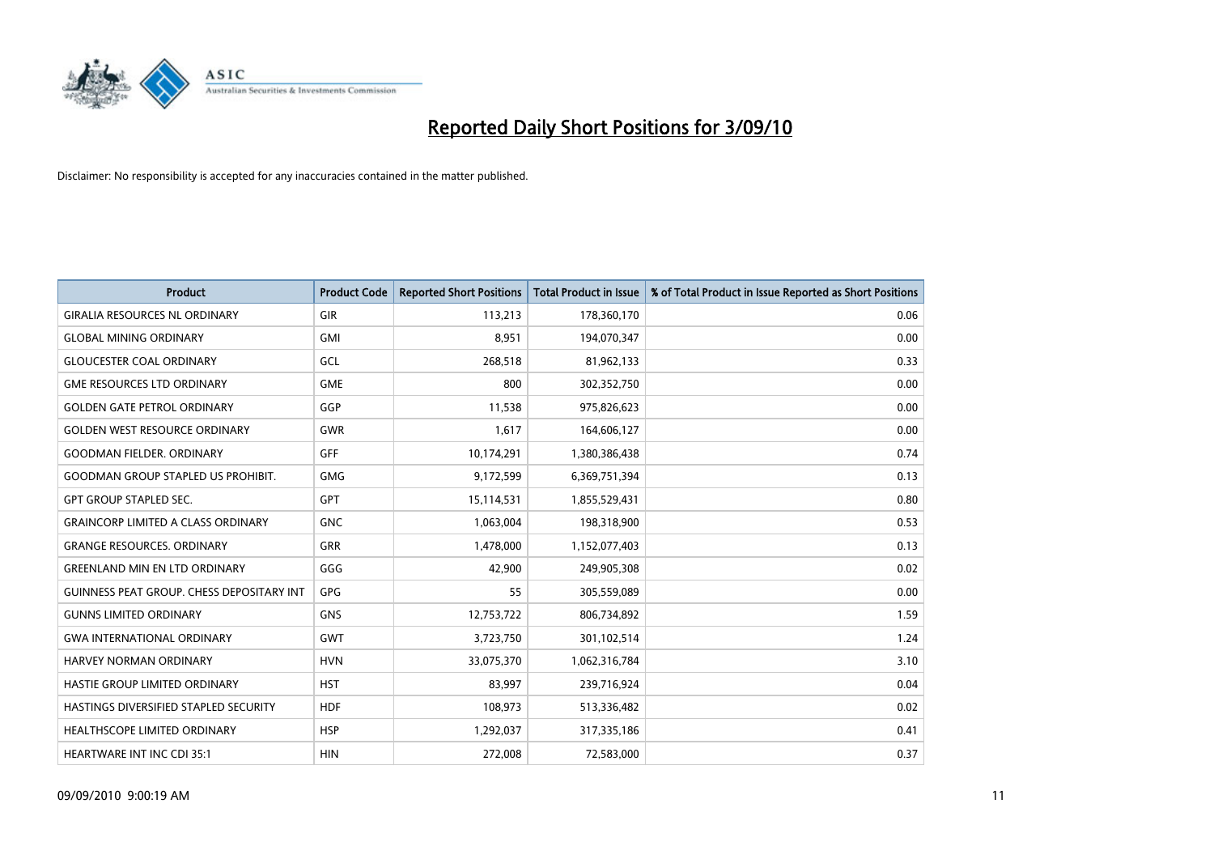

| <b>Product</b>                                   | <b>Product Code</b> | <b>Reported Short Positions</b> | <b>Total Product in Issue</b> | % of Total Product in Issue Reported as Short Positions |
|--------------------------------------------------|---------------------|---------------------------------|-------------------------------|---------------------------------------------------------|
| <b>GIRALIA RESOURCES NL ORDINARY</b>             | <b>GIR</b>          | 113,213                         | 178,360,170                   | 0.06                                                    |
| <b>GLOBAL MINING ORDINARY</b>                    | <b>GMI</b>          | 8,951                           | 194,070,347                   | 0.00                                                    |
| <b>GLOUCESTER COAL ORDINARY</b>                  | GCL                 | 268,518                         | 81,962,133                    | 0.33                                                    |
| <b>GME RESOURCES LTD ORDINARY</b>                | <b>GME</b>          | 800                             | 302,352,750                   | 0.00                                                    |
| <b>GOLDEN GATE PETROL ORDINARY</b>               | GGP                 | 11,538                          | 975,826,623                   | 0.00                                                    |
| <b>GOLDEN WEST RESOURCE ORDINARY</b>             | <b>GWR</b>          | 1,617                           | 164,606,127                   | 0.00                                                    |
| <b>GOODMAN FIELDER, ORDINARY</b>                 | <b>GFF</b>          | 10,174,291                      | 1,380,386,438                 | 0.74                                                    |
| <b>GOODMAN GROUP STAPLED US PROHIBIT.</b>        | <b>GMG</b>          | 9,172,599                       | 6,369,751,394                 | 0.13                                                    |
| <b>GPT GROUP STAPLED SEC.</b>                    | <b>GPT</b>          | 15,114,531                      | 1,855,529,431                 | 0.80                                                    |
| <b>GRAINCORP LIMITED A CLASS ORDINARY</b>        | <b>GNC</b>          | 1,063,004                       | 198,318,900                   | 0.53                                                    |
| <b>GRANGE RESOURCES. ORDINARY</b>                | <b>GRR</b>          | 1,478,000                       | 1,152,077,403                 | 0.13                                                    |
| <b>GREENLAND MIN EN LTD ORDINARY</b>             | GGG                 | 42,900                          | 249,905,308                   | 0.02                                                    |
| <b>GUINNESS PEAT GROUP. CHESS DEPOSITARY INT</b> | <b>GPG</b>          | 55                              | 305,559,089                   | 0.00                                                    |
| <b>GUNNS LIMITED ORDINARY</b>                    | <b>GNS</b>          | 12,753,722                      | 806,734,892                   | 1.59                                                    |
| <b>GWA INTERNATIONAL ORDINARY</b>                | GWT                 | 3,723,750                       | 301,102,514                   | 1.24                                                    |
| HARVEY NORMAN ORDINARY                           | <b>HVN</b>          | 33,075,370                      | 1,062,316,784                 | 3.10                                                    |
| HASTIE GROUP LIMITED ORDINARY                    | <b>HST</b>          | 83,997                          | 239,716,924                   | 0.04                                                    |
| HASTINGS DIVERSIFIED STAPLED SECURITY            | <b>HDF</b>          | 108,973                         | 513,336,482                   | 0.02                                                    |
| <b>HEALTHSCOPE LIMITED ORDINARY</b>              | <b>HSP</b>          | 1,292,037                       | 317,335,186                   | 0.41                                                    |
| <b>HEARTWARE INT INC CDI 35:1</b>                | <b>HIN</b>          | 272,008                         | 72,583,000                    | 0.37                                                    |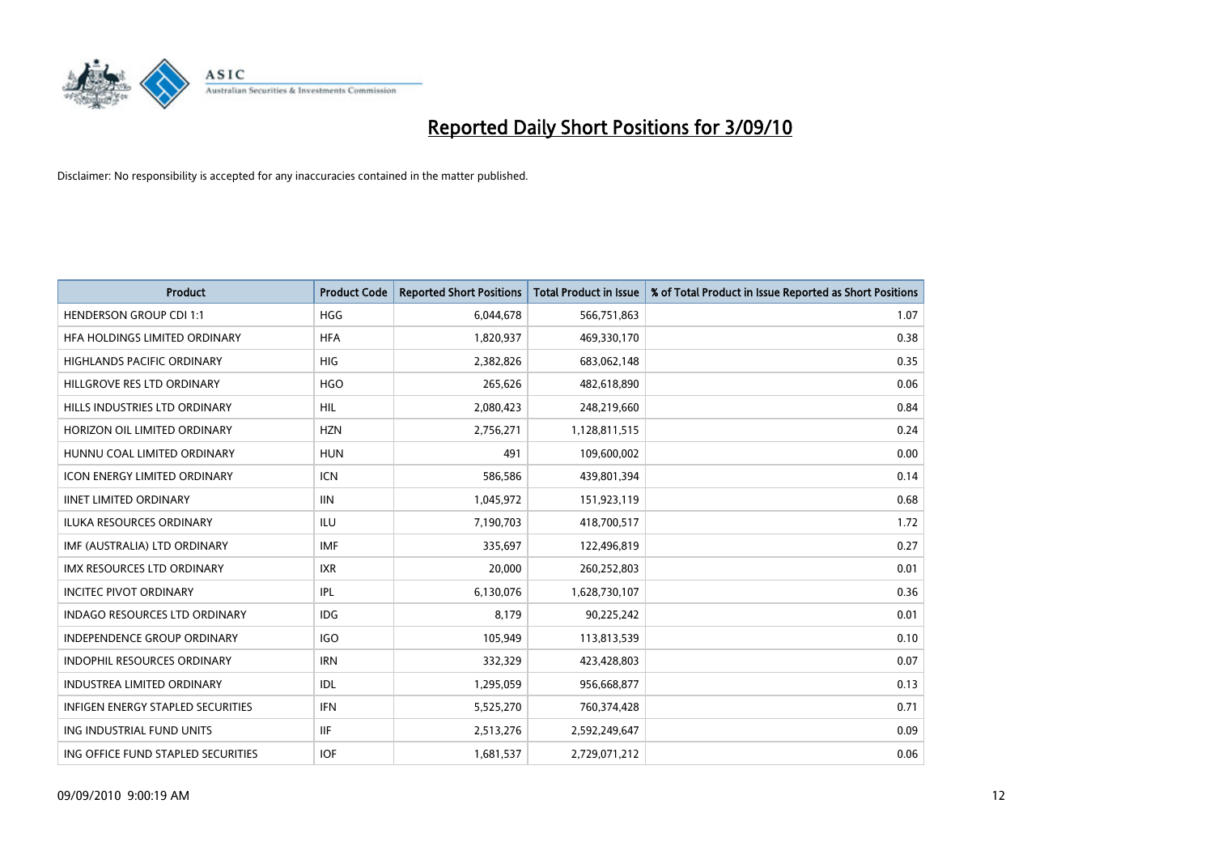

| <b>Product</b>                       | <b>Product Code</b> | <b>Reported Short Positions</b> | <b>Total Product in Issue</b> | % of Total Product in Issue Reported as Short Positions |
|--------------------------------------|---------------------|---------------------------------|-------------------------------|---------------------------------------------------------|
| <b>HENDERSON GROUP CDI 1:1</b>       | <b>HGG</b>          | 6,044,678                       | 566,751,863                   | 1.07                                                    |
| HFA HOLDINGS LIMITED ORDINARY        | <b>HFA</b>          | 1,820,937                       | 469,330,170                   | 0.38                                                    |
| <b>HIGHLANDS PACIFIC ORDINARY</b>    | <b>HIG</b>          | 2,382,826                       | 683,062,148                   | 0.35                                                    |
| HILLGROVE RES LTD ORDINARY           | <b>HGO</b>          | 265,626                         | 482,618,890                   | 0.06                                                    |
| HILLS INDUSTRIES LTD ORDINARY        | <b>HIL</b>          | 2,080,423                       | 248,219,660                   | 0.84                                                    |
| HORIZON OIL LIMITED ORDINARY         | <b>HZN</b>          | 2,756,271                       | 1,128,811,515                 | 0.24                                                    |
| HUNNU COAL LIMITED ORDINARY          | <b>HUN</b>          | 491                             | 109,600,002                   | 0.00                                                    |
| <b>ICON ENERGY LIMITED ORDINARY</b>  | <b>ICN</b>          | 586,586                         | 439,801,394                   | 0.14                                                    |
| <b>IINET LIMITED ORDINARY</b>        | <b>IIN</b>          | 1,045,972                       | 151,923,119                   | 0.68                                                    |
| <b>ILUKA RESOURCES ORDINARY</b>      | <b>ILU</b>          | 7,190,703                       | 418,700,517                   | 1.72                                                    |
| IMF (AUSTRALIA) LTD ORDINARY         | <b>IMF</b>          | 335,697                         | 122,496,819                   | 0.27                                                    |
| IMX RESOURCES LTD ORDINARY           | <b>IXR</b>          | 20,000                          | 260,252,803                   | 0.01                                                    |
| <b>INCITEC PIVOT ORDINARY</b>        | <b>IPL</b>          | 6,130,076                       | 1,628,730,107                 | 0.36                                                    |
| <b>INDAGO RESOURCES LTD ORDINARY</b> | <b>IDG</b>          | 8,179                           | 90,225,242                    | 0.01                                                    |
| <b>INDEPENDENCE GROUP ORDINARY</b>   | <b>IGO</b>          | 105,949                         | 113,813,539                   | 0.10                                                    |
| <b>INDOPHIL RESOURCES ORDINARY</b>   | <b>IRN</b>          | 332,329                         | 423,428,803                   | 0.07                                                    |
| <b>INDUSTREA LIMITED ORDINARY</b>    | IDL                 | 1,295,059                       | 956,668,877                   | 0.13                                                    |
| INFIGEN ENERGY STAPLED SECURITIES    | <b>IFN</b>          | 5,525,270                       | 760,374,428                   | 0.71                                                    |
| ING INDUSTRIAL FUND UNITS            | <b>IIF</b>          | 2,513,276                       | 2,592,249,647                 | 0.09                                                    |
| ING OFFICE FUND STAPLED SECURITIES   | <b>IOF</b>          | 1,681,537                       | 2,729,071,212                 | 0.06                                                    |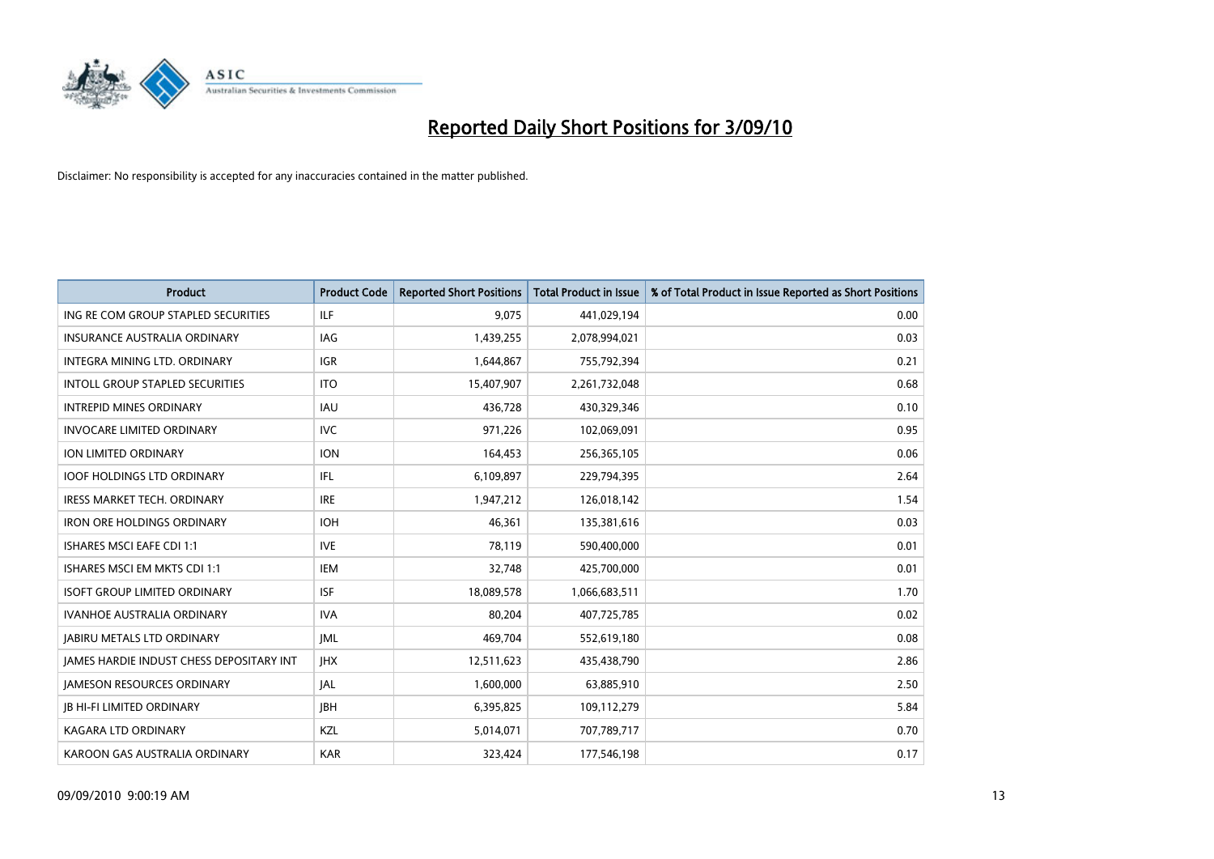

| <b>Product</b>                                  | <b>Product Code</b> | <b>Reported Short Positions</b> | <b>Total Product in Issue</b> | % of Total Product in Issue Reported as Short Positions |
|-------------------------------------------------|---------------------|---------------------------------|-------------------------------|---------------------------------------------------------|
| ING RE COM GROUP STAPLED SECURITIES             | ILF                 | 9,075                           | 441,029,194                   | 0.00                                                    |
| INSURANCE AUSTRALIA ORDINARY                    | IAG                 | 1,439,255                       | 2,078,994,021                 | 0.03                                                    |
| INTEGRA MINING LTD, ORDINARY                    | <b>IGR</b>          | 1,644,867                       | 755,792,394                   | 0.21                                                    |
| INTOLL GROUP STAPLED SECURITIES                 | <b>ITO</b>          | 15,407,907                      | 2,261,732,048                 | 0.68                                                    |
| <b>INTREPID MINES ORDINARY</b>                  | <b>IAU</b>          | 436,728                         | 430,329,346                   | 0.10                                                    |
| <b>INVOCARE LIMITED ORDINARY</b>                | <b>IVC</b>          | 971,226                         | 102,069,091                   | 0.95                                                    |
| ION LIMITED ORDINARY                            | <b>ION</b>          | 164,453                         | 256,365,105                   | 0.06                                                    |
| <b>IOOF HOLDINGS LTD ORDINARY</b>               | <b>IFL</b>          | 6,109,897                       | 229,794,395                   | 2.64                                                    |
| IRESS MARKET TECH. ORDINARY                     | <b>IRE</b>          | 1,947,212                       | 126,018,142                   | 1.54                                                    |
| <b>IRON ORE HOLDINGS ORDINARY</b>               | <b>IOH</b>          | 46.361                          | 135,381,616                   | 0.03                                                    |
| ISHARES MSCI EAFE CDI 1:1                       | <b>IVE</b>          | 78,119                          | 590,400,000                   | 0.01                                                    |
| ISHARES MSCI EM MKTS CDI 1:1                    | <b>IEM</b>          | 32,748                          | 425,700,000                   | 0.01                                                    |
| <b>ISOFT GROUP LIMITED ORDINARY</b>             | <b>ISF</b>          | 18,089,578                      | 1,066,683,511                 | 1.70                                                    |
| <b>IVANHOE AUSTRALIA ORDINARY</b>               | <b>IVA</b>          | 80,204                          | 407,725,785                   | 0.02                                                    |
| <b>JABIRU METALS LTD ORDINARY</b>               | <b>JML</b>          | 469,704                         | 552,619,180                   | 0.08                                                    |
| <b>JAMES HARDIE INDUST CHESS DEPOSITARY INT</b> | <b>IHX</b>          | 12,511,623                      | 435,438,790                   | 2.86                                                    |
| <b>JAMESON RESOURCES ORDINARY</b>               | <b>JAL</b>          | 1,600,000                       | 63,885,910                    | 2.50                                                    |
| <b>JB HI-FI LIMITED ORDINARY</b>                | <b>IBH</b>          | 6,395,825                       | 109,112,279                   | 5.84                                                    |
| <b>KAGARA LTD ORDINARY</b>                      | KZL                 | 5,014,071                       | 707,789,717                   | 0.70                                                    |
| KAROON GAS AUSTRALIA ORDINARY                   | <b>KAR</b>          | 323.424                         | 177,546,198                   | 0.17                                                    |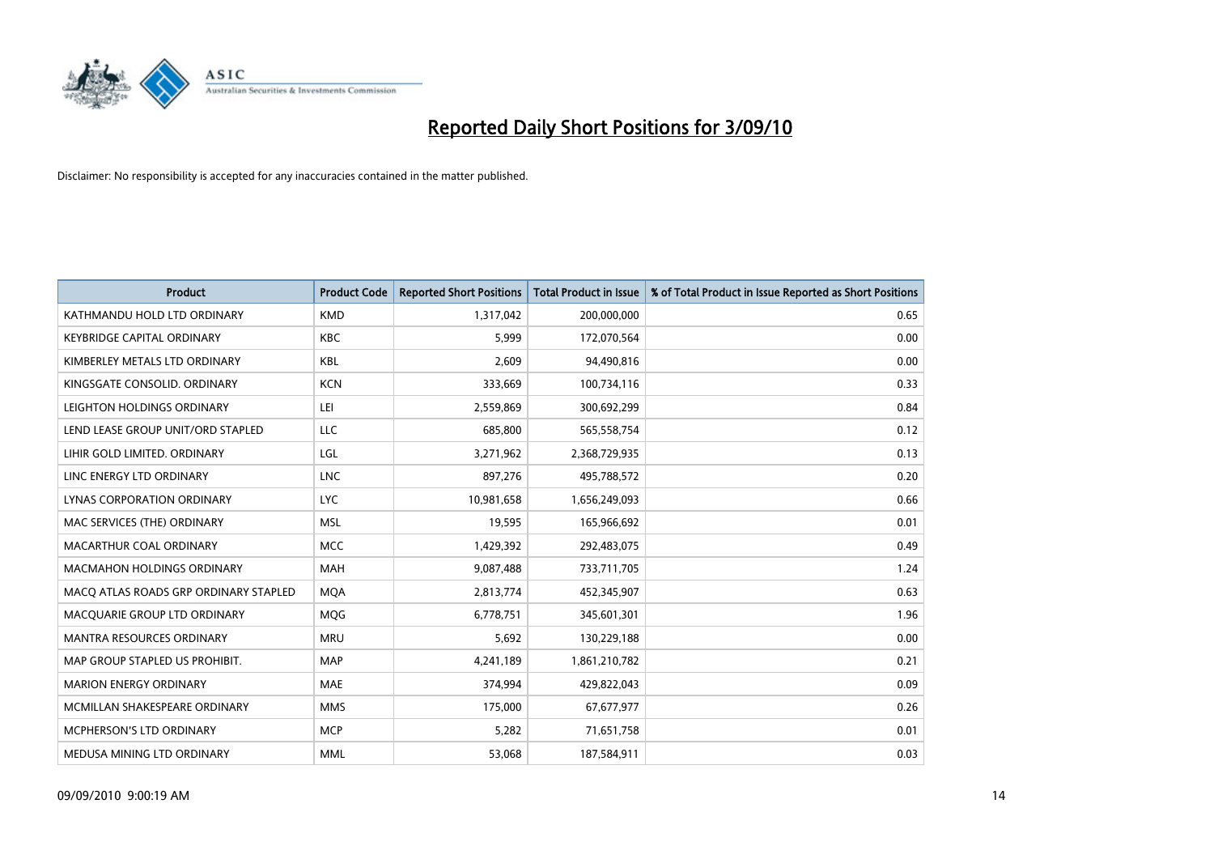

| <b>Product</b>                        | <b>Product Code</b> | <b>Reported Short Positions</b> | <b>Total Product in Issue</b> | % of Total Product in Issue Reported as Short Positions |
|---------------------------------------|---------------------|---------------------------------|-------------------------------|---------------------------------------------------------|
| KATHMANDU HOLD LTD ORDINARY           | <b>KMD</b>          | 1,317,042                       | 200,000,000                   | 0.65                                                    |
| <b>KEYBRIDGE CAPITAL ORDINARY</b>     | <b>KBC</b>          | 5,999                           | 172,070,564                   | 0.00                                                    |
| KIMBERLEY METALS LTD ORDINARY         | <b>KBL</b>          | 2,609                           | 94,490,816                    | 0.00                                                    |
| KINGSGATE CONSOLID. ORDINARY          | <b>KCN</b>          | 333,669                         | 100,734,116                   | 0.33                                                    |
| LEIGHTON HOLDINGS ORDINARY            | LEI                 | 2,559,869                       | 300,692,299                   | 0.84                                                    |
| LEND LEASE GROUP UNIT/ORD STAPLED     | LLC                 | 685,800                         | 565,558,754                   | 0.12                                                    |
| LIHIR GOLD LIMITED. ORDINARY          | LGL                 | 3,271,962                       | 2,368,729,935                 | 0.13                                                    |
| LINC ENERGY LTD ORDINARY              | <b>LNC</b>          | 897,276                         | 495,788,572                   | 0.20                                                    |
| LYNAS CORPORATION ORDINARY            | <b>LYC</b>          | 10,981,658                      | 1,656,249,093                 | 0.66                                                    |
| MAC SERVICES (THE) ORDINARY           | <b>MSL</b>          | 19,595                          | 165,966,692                   | 0.01                                                    |
| MACARTHUR COAL ORDINARY               | <b>MCC</b>          | 1,429,392                       | 292,483,075                   | 0.49                                                    |
| <b>MACMAHON HOLDINGS ORDINARY</b>     | <b>MAH</b>          | 9,087,488                       | 733,711,705                   | 1.24                                                    |
| MACO ATLAS ROADS GRP ORDINARY STAPLED | <b>MQA</b>          | 2,813,774                       | 452,345,907                   | 0.63                                                    |
| MACQUARIE GROUP LTD ORDINARY          | <b>MOG</b>          | 6,778,751                       | 345,601,301                   | 1.96                                                    |
| <b>MANTRA RESOURCES ORDINARY</b>      | <b>MRU</b>          | 5,692                           | 130,229,188                   | 0.00                                                    |
| MAP GROUP STAPLED US PROHIBIT.        | <b>MAP</b>          | 4,241,189                       | 1,861,210,782                 | 0.21                                                    |
| <b>MARION ENERGY ORDINARY</b>         | <b>MAE</b>          | 374,994                         | 429,822,043                   | 0.09                                                    |
| MCMILLAN SHAKESPEARE ORDINARY         | <b>MMS</b>          | 175,000                         | 67,677,977                    | 0.26                                                    |
| <b>MCPHERSON'S LTD ORDINARY</b>       | <b>MCP</b>          | 5,282                           | 71,651,758                    | 0.01                                                    |
| MEDUSA MINING LTD ORDINARY            | <b>MML</b>          | 53.068                          | 187,584,911                   | 0.03                                                    |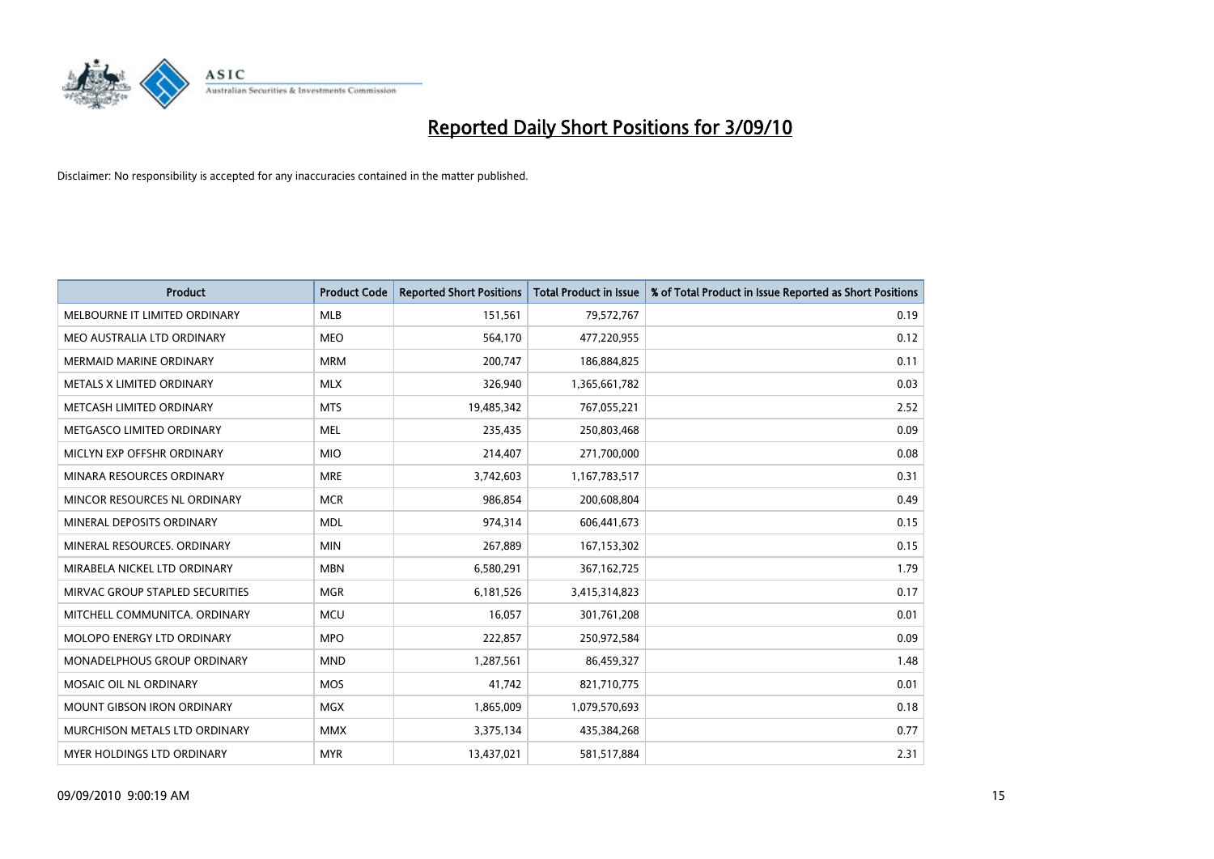

| <b>Product</b>                  | <b>Product Code</b> | <b>Reported Short Positions</b> | <b>Total Product in Issue</b> | % of Total Product in Issue Reported as Short Positions |
|---------------------------------|---------------------|---------------------------------|-------------------------------|---------------------------------------------------------|
| MELBOURNE IT LIMITED ORDINARY   | <b>MLB</b>          | 151,561                         | 79,572,767                    | 0.19                                                    |
| MEO AUSTRALIA LTD ORDINARY      | <b>MEO</b>          | 564,170                         | 477,220,955                   | 0.12                                                    |
| <b>MERMAID MARINE ORDINARY</b>  | <b>MRM</b>          | 200,747                         | 186,884,825                   | 0.11                                                    |
| METALS X LIMITED ORDINARY       | <b>MLX</b>          | 326,940                         | 1,365,661,782                 | 0.03                                                    |
| METCASH LIMITED ORDINARY        | <b>MTS</b>          | 19,485,342                      | 767,055,221                   | 2.52                                                    |
| METGASCO LIMITED ORDINARY       | <b>MEL</b>          | 235,435                         | 250,803,468                   | 0.09                                                    |
| MICLYN EXP OFFSHR ORDINARY      | <b>MIO</b>          | 214,407                         | 271,700,000                   | 0.08                                                    |
| MINARA RESOURCES ORDINARY       | <b>MRE</b>          | 3,742,603                       | 1,167,783,517                 | 0.31                                                    |
| MINCOR RESOURCES NL ORDINARY    | <b>MCR</b>          | 986,854                         | 200,608,804                   | 0.49                                                    |
| MINERAL DEPOSITS ORDINARY       | <b>MDL</b>          | 974,314                         | 606,441,673                   | 0.15                                                    |
| MINERAL RESOURCES. ORDINARY     | <b>MIN</b>          | 267,889                         | 167, 153, 302                 | 0.15                                                    |
| MIRABELA NICKEL LTD ORDINARY    | <b>MBN</b>          | 6,580,291                       | 367, 162, 725                 | 1.79                                                    |
| MIRVAC GROUP STAPLED SECURITIES | <b>MGR</b>          | 6,181,526                       | 3,415,314,823                 | 0.17                                                    |
| MITCHELL COMMUNITCA. ORDINARY   | <b>MCU</b>          | 16,057                          | 301,761,208                   | 0.01                                                    |
| MOLOPO ENERGY LTD ORDINARY      | <b>MPO</b>          | 222,857                         | 250,972,584                   | 0.09                                                    |
| MONADELPHOUS GROUP ORDINARY     | <b>MND</b>          | 1,287,561                       | 86,459,327                    | 1.48                                                    |
| MOSAIC OIL NL ORDINARY          | MOS                 | 41,742                          | 821,710,775                   | 0.01                                                    |
| MOUNT GIBSON IRON ORDINARY      | <b>MGX</b>          | 1,865,009                       | 1,079,570,693                 | 0.18                                                    |
| MURCHISON METALS LTD ORDINARY   | <b>MMX</b>          | 3,375,134                       | 435,384,268                   | 0.77                                                    |
| MYER HOLDINGS LTD ORDINARY      | <b>MYR</b>          | 13,437,021                      | 581,517,884                   | 2.31                                                    |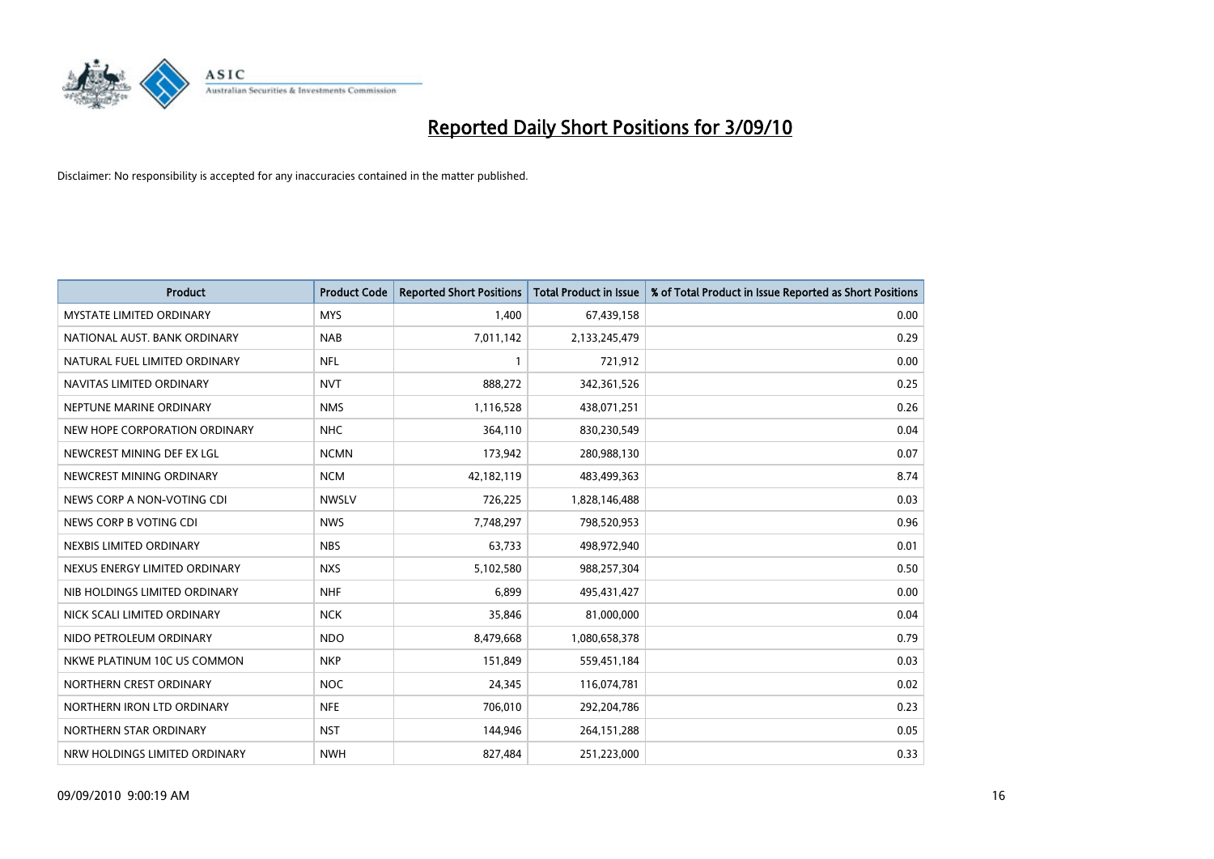

| <b>Product</b>                  | <b>Product Code</b> | <b>Reported Short Positions</b> | <b>Total Product in Issue</b> | % of Total Product in Issue Reported as Short Positions |
|---------------------------------|---------------------|---------------------------------|-------------------------------|---------------------------------------------------------|
| <b>MYSTATE LIMITED ORDINARY</b> | <b>MYS</b>          | 1,400                           | 67,439,158                    | 0.00                                                    |
| NATIONAL AUST. BANK ORDINARY    | <b>NAB</b>          | 7,011,142                       | 2,133,245,479                 | 0.29                                                    |
| NATURAL FUEL LIMITED ORDINARY   | <b>NFL</b>          |                                 | 721,912                       | 0.00                                                    |
| NAVITAS LIMITED ORDINARY        | <b>NVT</b>          | 888,272                         | 342,361,526                   | 0.25                                                    |
| NEPTUNE MARINE ORDINARY         | <b>NMS</b>          | 1,116,528                       | 438,071,251                   | 0.26                                                    |
| NEW HOPE CORPORATION ORDINARY   | <b>NHC</b>          | 364,110                         | 830,230,549                   | 0.04                                                    |
| NEWCREST MINING DEF EX LGL      | <b>NCMN</b>         | 173,942                         | 280,988,130                   | 0.07                                                    |
| NEWCREST MINING ORDINARY        | <b>NCM</b>          | 42,182,119                      | 483,499,363                   | 8.74                                                    |
| NEWS CORP A NON-VOTING CDI      | <b>NWSLV</b>        | 726,225                         | 1,828,146,488                 | 0.03                                                    |
| NEWS CORP B VOTING CDI          | <b>NWS</b>          | 7,748,297                       | 798,520,953                   | 0.96                                                    |
| NEXBIS LIMITED ORDINARY         | <b>NBS</b>          | 63,733                          | 498,972,940                   | 0.01                                                    |
| NEXUS ENERGY LIMITED ORDINARY   | <b>NXS</b>          | 5,102,580                       | 988,257,304                   | 0.50                                                    |
| NIB HOLDINGS LIMITED ORDINARY   | <b>NHF</b>          | 6,899                           | 495,431,427                   | 0.00                                                    |
| NICK SCALI LIMITED ORDINARY     | <b>NCK</b>          | 35,846                          | 81,000,000                    | 0.04                                                    |
| NIDO PETROLEUM ORDINARY         | <b>NDO</b>          | 8,479,668                       | 1,080,658,378                 | 0.79                                                    |
| NKWE PLATINUM 10C US COMMON     | <b>NKP</b>          | 151,849                         | 559,451,184                   | 0.03                                                    |
| NORTHERN CREST ORDINARY         | <b>NOC</b>          | 24,345                          | 116,074,781                   | 0.02                                                    |
| NORTHERN IRON LTD ORDINARY      | <b>NFE</b>          | 706,010                         | 292,204,786                   | 0.23                                                    |
| NORTHERN STAR ORDINARY          | <b>NST</b>          | 144,946                         | 264, 151, 288                 | 0.05                                                    |
| NRW HOLDINGS LIMITED ORDINARY   | <b>NWH</b>          | 827,484                         | 251,223,000                   | 0.33                                                    |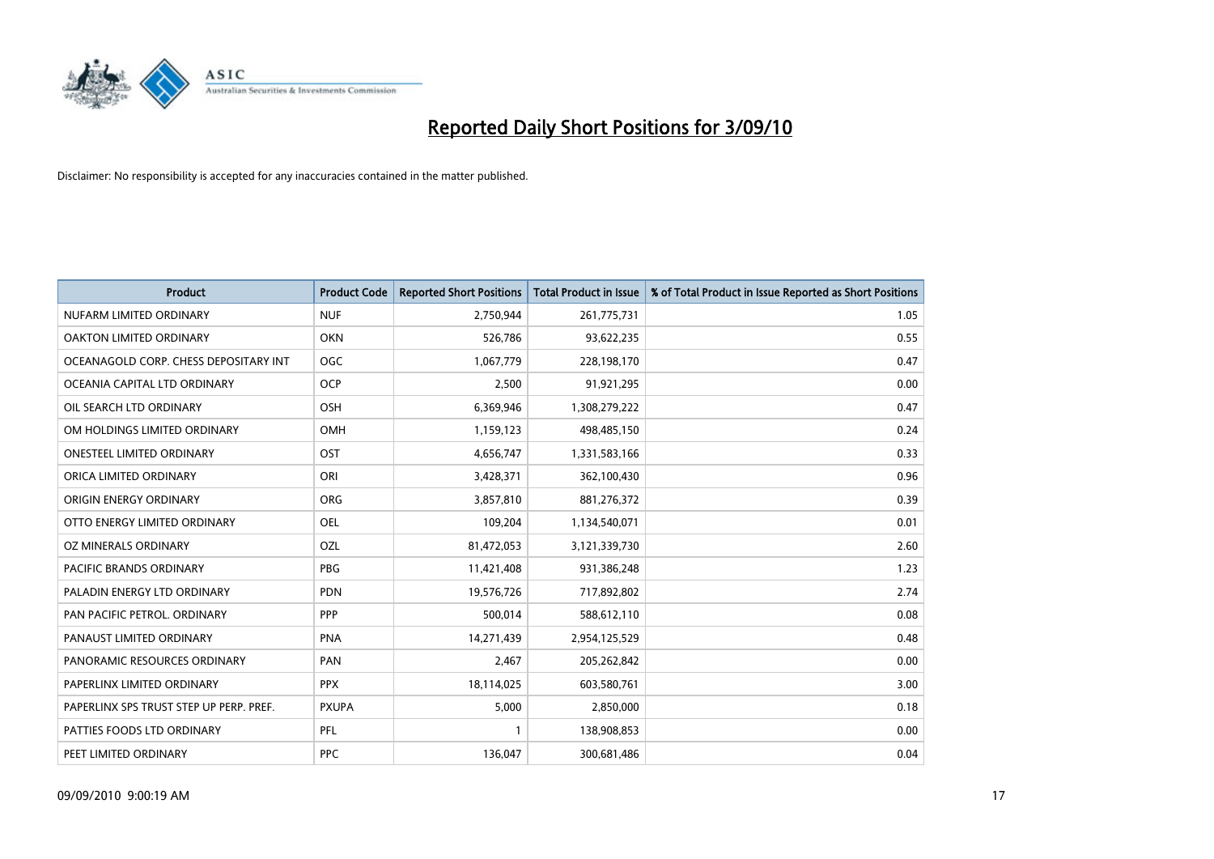

| <b>Product</b>                          | <b>Product Code</b> | <b>Reported Short Positions</b> | Total Product in Issue | % of Total Product in Issue Reported as Short Positions |
|-----------------------------------------|---------------------|---------------------------------|------------------------|---------------------------------------------------------|
| NUFARM LIMITED ORDINARY                 | <b>NUF</b>          | 2,750,944                       | 261,775,731            | 1.05                                                    |
| OAKTON LIMITED ORDINARY                 | <b>OKN</b>          | 526,786                         | 93,622,235             | 0.55                                                    |
| OCEANAGOLD CORP. CHESS DEPOSITARY INT   | <b>OGC</b>          | 1,067,779                       | 228,198,170            | 0.47                                                    |
| OCEANIA CAPITAL LTD ORDINARY            | <b>OCP</b>          | 2,500                           | 91,921,295             | 0.00                                                    |
| OIL SEARCH LTD ORDINARY                 | OSH                 | 6,369,946                       | 1,308,279,222          | 0.47                                                    |
| OM HOLDINGS LIMITED ORDINARY            | OMH                 | 1,159,123                       | 498,485,150            | 0.24                                                    |
| ONESTEEL LIMITED ORDINARY               | OST                 | 4,656,747                       | 1,331,583,166          | 0.33                                                    |
| ORICA LIMITED ORDINARY                  | ORI                 | 3,428,371                       | 362,100,430            | 0.96                                                    |
| ORIGIN ENERGY ORDINARY                  | <b>ORG</b>          | 3,857,810                       | 881,276,372            | 0.39                                                    |
| OTTO ENERGY LIMITED ORDINARY            | OEL                 | 109,204                         | 1,134,540,071          | 0.01                                                    |
| OZ MINERALS ORDINARY                    | OZL                 | 81,472,053                      | 3,121,339,730          | 2.60                                                    |
| PACIFIC BRANDS ORDINARY                 | <b>PBG</b>          | 11,421,408                      | 931,386,248            | 1.23                                                    |
| PALADIN ENERGY LTD ORDINARY             | <b>PDN</b>          | 19,576,726                      | 717,892,802            | 2.74                                                    |
| PAN PACIFIC PETROL. ORDINARY            | PPP                 | 500,014                         | 588,612,110            | 0.08                                                    |
| PANAUST LIMITED ORDINARY                | PNA                 | 14,271,439                      | 2,954,125,529          | 0.48                                                    |
| PANORAMIC RESOURCES ORDINARY            | PAN                 | 2,467                           | 205,262,842            | 0.00                                                    |
| PAPERLINX LIMITED ORDINARY              | <b>PPX</b>          | 18,114,025                      | 603,580,761            | 3.00                                                    |
| PAPERLINX SPS TRUST STEP UP PERP. PREF. | <b>PXUPA</b>        | 5,000                           | 2,850,000              | 0.18                                                    |
| PATTIES FOODS LTD ORDINARY              | PFL                 |                                 | 138,908,853            | 0.00                                                    |
| PEET LIMITED ORDINARY                   | <b>PPC</b>          | 136,047                         | 300,681,486            | 0.04                                                    |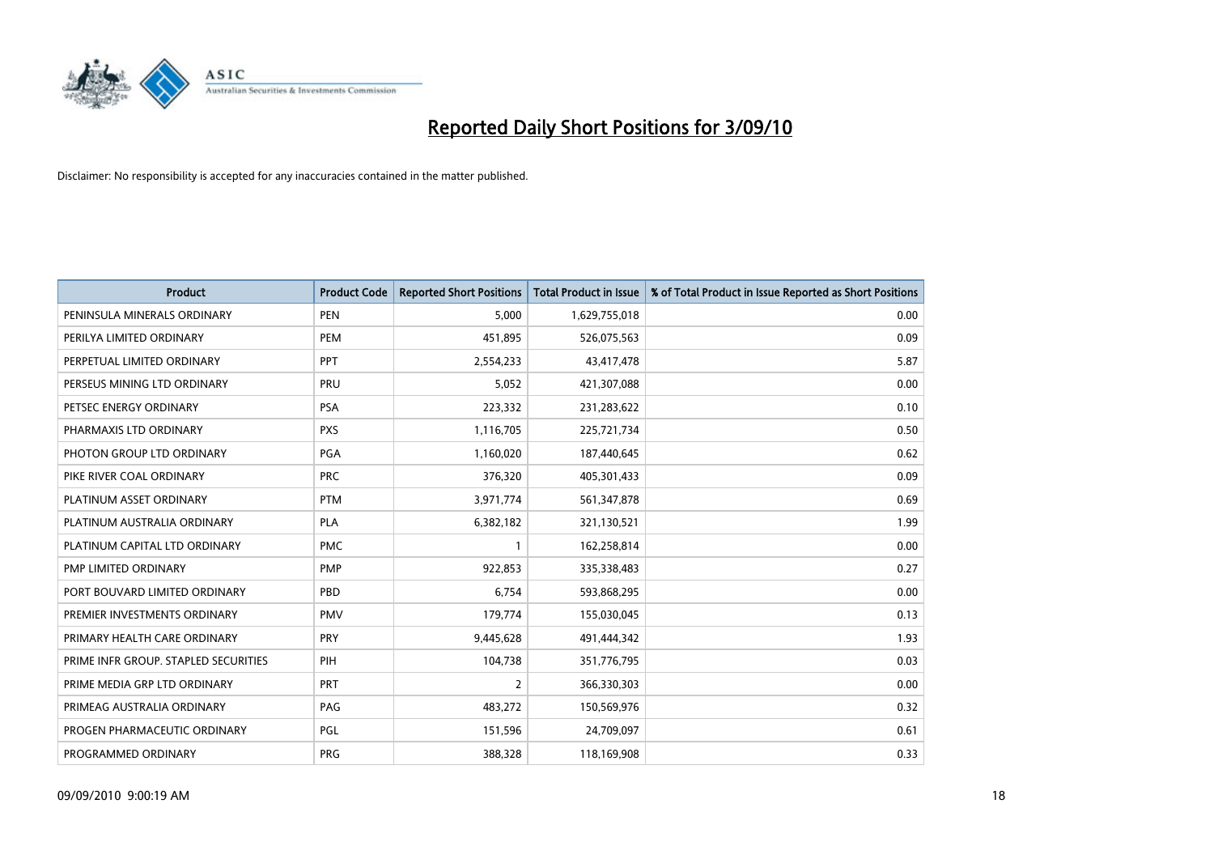

| <b>Product</b>                       | <b>Product Code</b> | <b>Reported Short Positions</b> | <b>Total Product in Issue</b> | % of Total Product in Issue Reported as Short Positions |
|--------------------------------------|---------------------|---------------------------------|-------------------------------|---------------------------------------------------------|
| PENINSULA MINERALS ORDINARY          | <b>PEN</b>          | 5,000                           | 1,629,755,018                 | 0.00                                                    |
| PERILYA LIMITED ORDINARY             | PEM                 | 451,895                         | 526,075,563                   | 0.09                                                    |
| PERPETUAL LIMITED ORDINARY           | PPT                 | 2,554,233                       | 43,417,478                    | 5.87                                                    |
| PERSEUS MINING LTD ORDINARY          | PRU                 | 5,052                           | 421,307,088                   | 0.00                                                    |
| PETSEC ENERGY ORDINARY               | <b>PSA</b>          | 223,332                         | 231,283,622                   | 0.10                                                    |
| PHARMAXIS LTD ORDINARY               | <b>PXS</b>          | 1,116,705                       | 225,721,734                   | 0.50                                                    |
| PHOTON GROUP LTD ORDINARY            | PGA                 | 1,160,020                       | 187,440,645                   | 0.62                                                    |
| PIKE RIVER COAL ORDINARY             | <b>PRC</b>          | 376,320                         | 405,301,433                   | 0.09                                                    |
| PLATINUM ASSET ORDINARY              | <b>PTM</b>          | 3,971,774                       | 561,347,878                   | 0.69                                                    |
| PLATINUM AUSTRALIA ORDINARY          | <b>PLA</b>          | 6,382,182                       | 321,130,521                   | 1.99                                                    |
| PLATINUM CAPITAL LTD ORDINARY        | <b>PMC</b>          |                                 | 162,258,814                   | 0.00                                                    |
| PMP LIMITED ORDINARY                 | <b>PMP</b>          | 922,853                         | 335,338,483                   | 0.27                                                    |
| PORT BOUVARD LIMITED ORDINARY        | PBD                 | 6,754                           | 593,868,295                   | 0.00                                                    |
| PREMIER INVESTMENTS ORDINARY         | <b>PMV</b>          | 179,774                         | 155,030,045                   | 0.13                                                    |
| PRIMARY HEALTH CARE ORDINARY         | <b>PRY</b>          | 9,445,628                       | 491,444,342                   | 1.93                                                    |
| PRIME INFR GROUP. STAPLED SECURITIES | PIH                 | 104,738                         | 351,776,795                   | 0.03                                                    |
| PRIME MEDIA GRP LTD ORDINARY         | <b>PRT</b>          | $\overline{2}$                  | 366,330,303                   | 0.00                                                    |
| PRIMEAG AUSTRALIA ORDINARY           | PAG                 | 483,272                         | 150,569,976                   | 0.32                                                    |
| PROGEN PHARMACEUTIC ORDINARY         | <b>PGL</b>          | 151,596                         | 24,709,097                    | 0.61                                                    |
| PROGRAMMED ORDINARY                  | PRG                 | 388,328                         | 118,169,908                   | 0.33                                                    |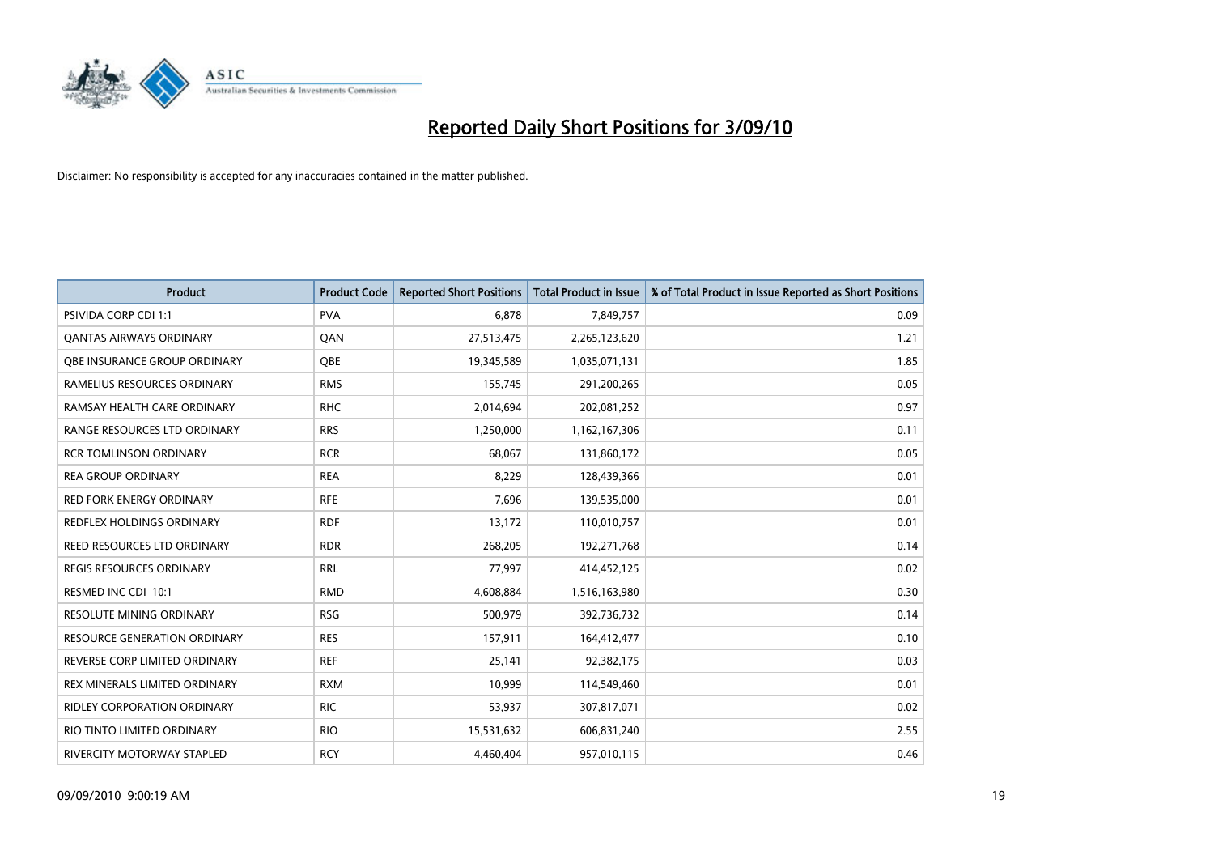

| <b>Product</b>                       | <b>Product Code</b> | <b>Reported Short Positions</b> | Total Product in Issue | % of Total Product in Issue Reported as Short Positions |
|--------------------------------------|---------------------|---------------------------------|------------------------|---------------------------------------------------------|
| <b>PSIVIDA CORP CDI 1:1</b>          | <b>PVA</b>          | 6,878                           | 7,849,757              | 0.09                                                    |
| <b>QANTAS AIRWAYS ORDINARY</b>       | QAN                 | 27,513,475                      | 2,265,123,620          | 1.21                                                    |
| OBE INSURANCE GROUP ORDINARY         | OBE                 | 19,345,589                      | 1,035,071,131          | 1.85                                                    |
| RAMELIUS RESOURCES ORDINARY          | <b>RMS</b>          | 155,745                         | 291,200,265            | 0.05                                                    |
| RAMSAY HEALTH CARE ORDINARY          | <b>RHC</b>          | 2,014,694                       | 202,081,252            | 0.97                                                    |
| RANGE RESOURCES LTD ORDINARY         | <b>RRS</b>          | 1,250,000                       | 1,162,167,306          | 0.11                                                    |
| <b>RCR TOMLINSON ORDINARY</b>        | <b>RCR</b>          | 68.067                          | 131,860,172            | 0.05                                                    |
| <b>REA GROUP ORDINARY</b>            | <b>REA</b>          | 8,229                           | 128,439,366            | 0.01                                                    |
| RED FORK ENERGY ORDINARY             | <b>RFE</b>          | 7,696                           | 139,535,000            | 0.01                                                    |
| <b>REDFLEX HOLDINGS ORDINARY</b>     | <b>RDF</b>          | 13,172                          | 110,010,757            | 0.01                                                    |
| REED RESOURCES LTD ORDINARY          | <b>RDR</b>          | 268,205                         | 192,271,768            | 0.14                                                    |
| <b>REGIS RESOURCES ORDINARY</b>      | <b>RRL</b>          | 77,997                          | 414,452,125            | 0.02                                                    |
| RESMED INC CDI 10:1                  | <b>RMD</b>          | 4,608,884                       | 1,516,163,980          | 0.30                                                    |
| RESOLUTE MINING ORDINARY             | <b>RSG</b>          | 500,979                         | 392,736,732            | 0.14                                                    |
| <b>RESOURCE GENERATION ORDINARY</b>  | <b>RES</b>          | 157,911                         | 164,412,477            | 0.10                                                    |
| REVERSE CORP LIMITED ORDINARY        | <b>REF</b>          | 25,141                          | 92,382,175             | 0.03                                                    |
| <b>REX MINERALS LIMITED ORDINARY</b> | <b>RXM</b>          | 10,999                          | 114,549,460            | 0.01                                                    |
| RIDLEY CORPORATION ORDINARY          | <b>RIC</b>          | 53,937                          | 307,817,071            | 0.02                                                    |
| RIO TINTO LIMITED ORDINARY           | <b>RIO</b>          | 15,531,632                      | 606,831,240            | 2.55                                                    |
| RIVERCITY MOTORWAY STAPLED           | <b>RCY</b>          | 4,460,404                       | 957,010,115            | 0.46                                                    |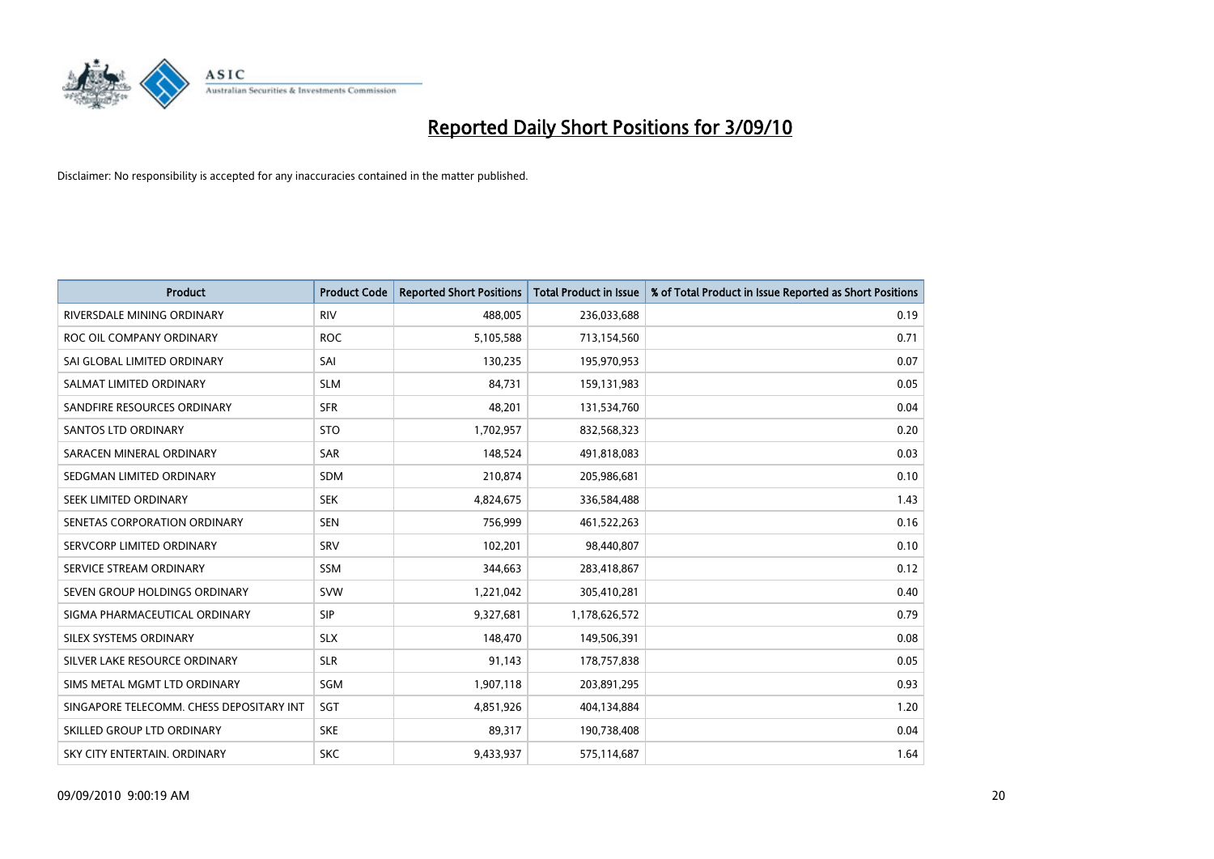

| <b>Product</b>                           | <b>Product Code</b> | <b>Reported Short Positions</b> | <b>Total Product in Issue</b> | % of Total Product in Issue Reported as Short Positions |
|------------------------------------------|---------------------|---------------------------------|-------------------------------|---------------------------------------------------------|
| RIVERSDALE MINING ORDINARY               | <b>RIV</b>          | 488,005                         | 236,033,688                   | 0.19                                                    |
| ROC OIL COMPANY ORDINARY                 | <b>ROC</b>          | 5,105,588                       | 713,154,560                   | 0.71                                                    |
| SAI GLOBAL LIMITED ORDINARY              | SAI                 | 130,235                         | 195,970,953                   | 0.07                                                    |
| SALMAT LIMITED ORDINARY                  | <b>SLM</b>          | 84,731                          | 159,131,983                   | 0.05                                                    |
| SANDFIRE RESOURCES ORDINARY              | <b>SFR</b>          | 48,201                          | 131,534,760                   | 0.04                                                    |
| <b>SANTOS LTD ORDINARY</b>               | <b>STO</b>          | 1,702,957                       | 832,568,323                   | 0.20                                                    |
| SARACEN MINERAL ORDINARY                 | <b>SAR</b>          | 148,524                         | 491,818,083                   | 0.03                                                    |
| SEDGMAN LIMITED ORDINARY                 | <b>SDM</b>          | 210,874                         | 205,986,681                   | 0.10                                                    |
| SEEK LIMITED ORDINARY                    | <b>SEK</b>          | 4,824,675                       | 336,584,488                   | 1.43                                                    |
| SENETAS CORPORATION ORDINARY             | <b>SEN</b>          | 756,999                         | 461,522,263                   | 0.16                                                    |
| SERVCORP LIMITED ORDINARY                | SRV                 | 102,201                         | 98,440,807                    | 0.10                                                    |
| SERVICE STREAM ORDINARY                  | <b>SSM</b>          | 344,663                         | 283,418,867                   | 0.12                                                    |
| SEVEN GROUP HOLDINGS ORDINARY            | <b>SVW</b>          | 1,221,042                       | 305,410,281                   | 0.40                                                    |
| SIGMA PHARMACEUTICAL ORDINARY            | <b>SIP</b>          | 9,327,681                       | 1,178,626,572                 | 0.79                                                    |
| SILEX SYSTEMS ORDINARY                   | <b>SLX</b>          | 148,470                         | 149,506,391                   | 0.08                                                    |
| SILVER LAKE RESOURCE ORDINARY            | <b>SLR</b>          | 91,143                          | 178,757,838                   | 0.05                                                    |
| SIMS METAL MGMT LTD ORDINARY             | SGM                 | 1,907,118                       | 203,891,295                   | 0.93                                                    |
| SINGAPORE TELECOMM. CHESS DEPOSITARY INT | SGT                 | 4,851,926                       | 404,134,884                   | 1.20                                                    |
| SKILLED GROUP LTD ORDINARY               | <b>SKE</b>          | 89,317                          | 190,738,408                   | 0.04                                                    |
| SKY CITY ENTERTAIN, ORDINARY             | <b>SKC</b>          | 9,433,937                       | 575,114,687                   | 1.64                                                    |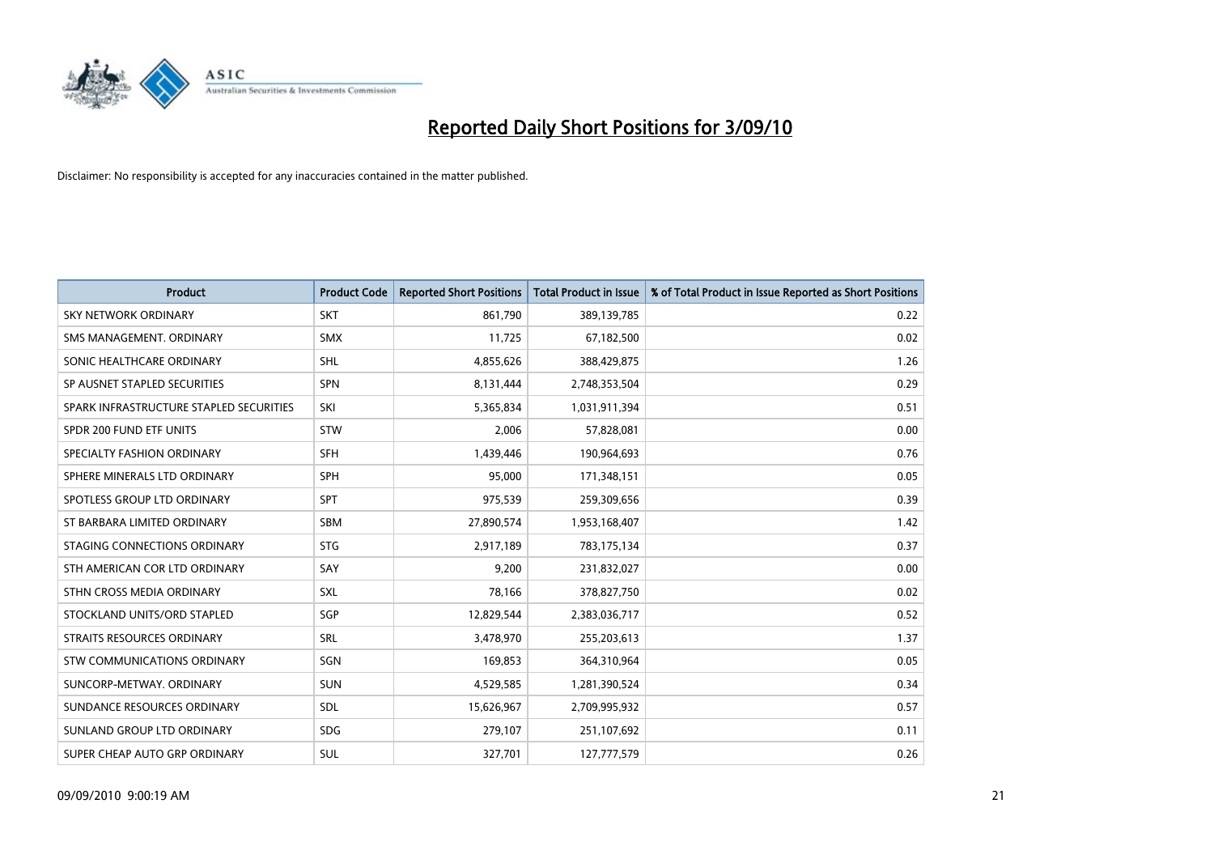

| <b>Product</b>                          | <b>Product Code</b> | <b>Reported Short Positions</b> | <b>Total Product in Issue</b> | % of Total Product in Issue Reported as Short Positions |
|-----------------------------------------|---------------------|---------------------------------|-------------------------------|---------------------------------------------------------|
| <b>SKY NETWORK ORDINARY</b>             | <b>SKT</b>          | 861,790                         | 389,139,785                   | 0.22                                                    |
| SMS MANAGEMENT. ORDINARY                | <b>SMX</b>          | 11,725                          | 67,182,500                    | 0.02                                                    |
| SONIC HEALTHCARE ORDINARY               | <b>SHL</b>          | 4,855,626                       | 388,429,875                   | 1.26                                                    |
| SP AUSNET STAPLED SECURITIES            | SPN                 | 8,131,444                       | 2,748,353,504                 | 0.29                                                    |
| SPARK INFRASTRUCTURE STAPLED SECURITIES | SKI                 | 5,365,834                       | 1,031,911,394                 | 0.51                                                    |
| SPDR 200 FUND ETF UNITS                 | STW                 | 2,006                           | 57,828,081                    | 0.00                                                    |
| SPECIALTY FASHION ORDINARY              | SFH                 | 1,439,446                       | 190,964,693                   | 0.76                                                    |
| SPHERE MINERALS LTD ORDINARY            | <b>SPH</b>          | 95,000                          | 171,348,151                   | 0.05                                                    |
| SPOTLESS GROUP LTD ORDINARY             | SPT                 | 975,539                         | 259,309,656                   | 0.39                                                    |
| ST BARBARA LIMITED ORDINARY             | <b>SBM</b>          | 27,890,574                      | 1,953,168,407                 | 1.42                                                    |
| STAGING CONNECTIONS ORDINARY            | <b>STG</b>          | 2,917,189                       | 783,175,134                   | 0.37                                                    |
| STH AMERICAN COR LTD ORDINARY           | SAY                 | 9,200                           | 231,832,027                   | 0.00                                                    |
| STHN CROSS MEDIA ORDINARY               | SXL                 | 78,166                          | 378,827,750                   | 0.02                                                    |
| STOCKLAND UNITS/ORD STAPLED             | SGP                 | 12,829,544                      | 2,383,036,717                 | 0.52                                                    |
| STRAITS RESOURCES ORDINARY              | SRL                 | 3,478,970                       | 255,203,613                   | 1.37                                                    |
| STW COMMUNICATIONS ORDINARY             | SGN                 | 169,853                         | 364,310,964                   | 0.05                                                    |
| SUNCORP-METWAY, ORDINARY                | SUN                 | 4,529,585                       | 1,281,390,524                 | 0.34                                                    |
| SUNDANCE RESOURCES ORDINARY             | <b>SDL</b>          | 15,626,967                      | 2,709,995,932                 | 0.57                                                    |
| SUNLAND GROUP LTD ORDINARY              | <b>SDG</b>          | 279,107                         | 251,107,692                   | 0.11                                                    |
| SUPER CHEAP AUTO GRP ORDINARY           | SUL                 | 327,701                         | 127,777,579                   | 0.26                                                    |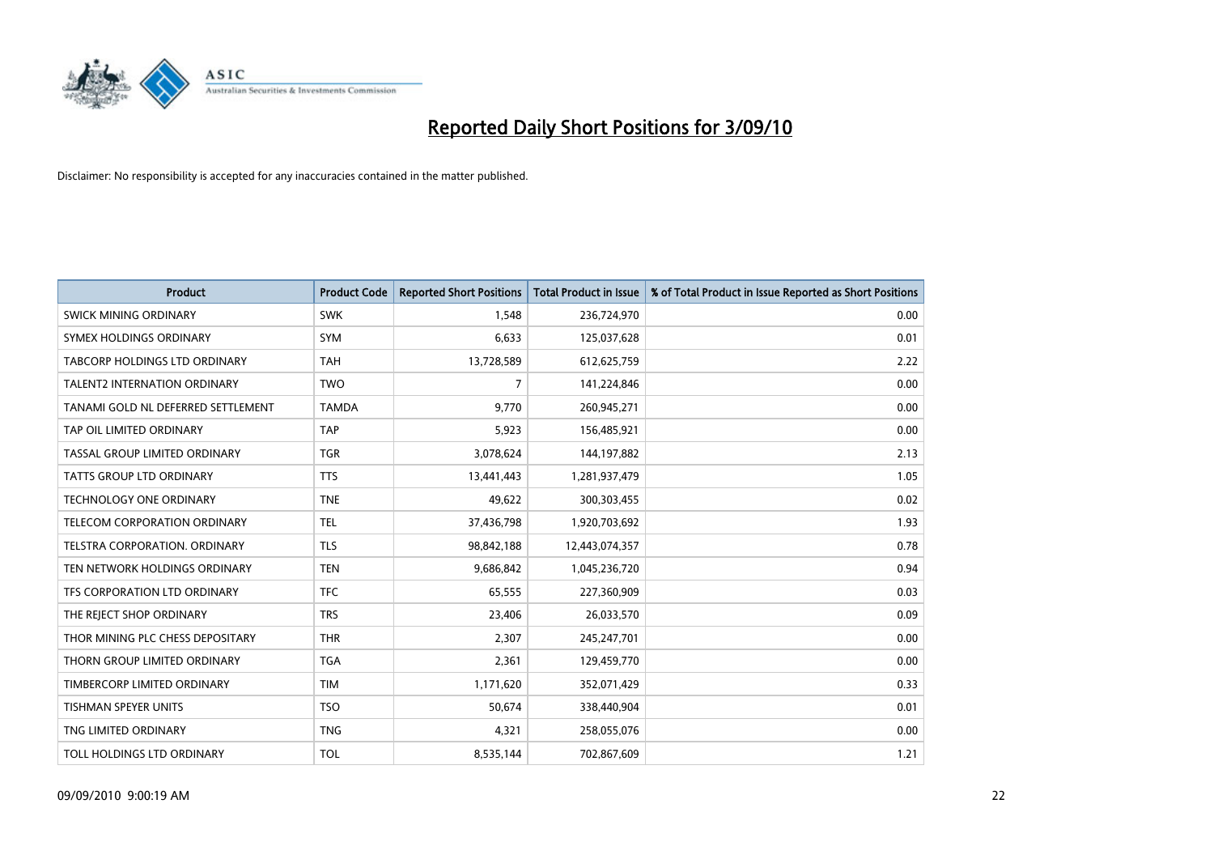

| <b>Product</b>                       | <b>Product Code</b> | <b>Reported Short Positions</b> | <b>Total Product in Issue</b> | % of Total Product in Issue Reported as Short Positions |
|--------------------------------------|---------------------|---------------------------------|-------------------------------|---------------------------------------------------------|
| <b>SWICK MINING ORDINARY</b>         | <b>SWK</b>          | 1,548                           | 236,724,970                   | 0.00                                                    |
| SYMEX HOLDINGS ORDINARY              | SYM                 | 6,633                           | 125,037,628                   | 0.01                                                    |
| <b>TABCORP HOLDINGS LTD ORDINARY</b> | <b>TAH</b>          | 13,728,589                      | 612,625,759                   | 2.22                                                    |
| TALENT2 INTERNATION ORDINARY         | <b>TWO</b>          | 7                               | 141,224,846                   | 0.00                                                    |
| TANAMI GOLD NL DEFERRED SETTLEMENT   | <b>TAMDA</b>        | 9,770                           | 260,945,271                   | 0.00                                                    |
| TAP OIL LIMITED ORDINARY             | <b>TAP</b>          | 5,923                           | 156,485,921                   | 0.00                                                    |
| TASSAL GROUP LIMITED ORDINARY        | <b>TGR</b>          | 3,078,624                       | 144,197,882                   | 2.13                                                    |
| TATTS GROUP LTD ORDINARY             | <b>TTS</b>          | 13,441,443                      | 1,281,937,479                 | 1.05                                                    |
| TECHNOLOGY ONE ORDINARY              | <b>TNE</b>          | 49,622                          | 300,303,455                   | 0.02                                                    |
| TELECOM CORPORATION ORDINARY         | <b>TEL</b>          | 37,436,798                      | 1,920,703,692                 | 1.93                                                    |
| TELSTRA CORPORATION. ORDINARY        | <b>TLS</b>          | 98,842,188                      | 12,443,074,357                | 0.78                                                    |
| TEN NETWORK HOLDINGS ORDINARY        | <b>TEN</b>          | 9,686,842                       | 1,045,236,720                 | 0.94                                                    |
| TFS CORPORATION LTD ORDINARY         | <b>TFC</b>          | 65,555                          | 227,360,909                   | 0.03                                                    |
| THE REJECT SHOP ORDINARY             | <b>TRS</b>          | 23,406                          | 26,033,570                    | 0.09                                                    |
| THOR MINING PLC CHESS DEPOSITARY     | <b>THR</b>          | 2,307                           | 245,247,701                   | 0.00                                                    |
| THORN GROUP LIMITED ORDINARY         | <b>TGA</b>          | 2,361                           | 129,459,770                   | 0.00                                                    |
| TIMBERCORP LIMITED ORDINARY          | <b>TIM</b>          | 1,171,620                       | 352,071,429                   | 0.33                                                    |
| TISHMAN SPEYER UNITS                 | <b>TSO</b>          | 50,674                          | 338,440,904                   | 0.01                                                    |
| TNG LIMITED ORDINARY                 | <b>TNG</b>          | 4,321                           | 258,055,076                   | 0.00                                                    |
| TOLL HOLDINGS LTD ORDINARY           | <b>TOL</b>          | 8,535,144                       | 702,867,609                   | 1.21                                                    |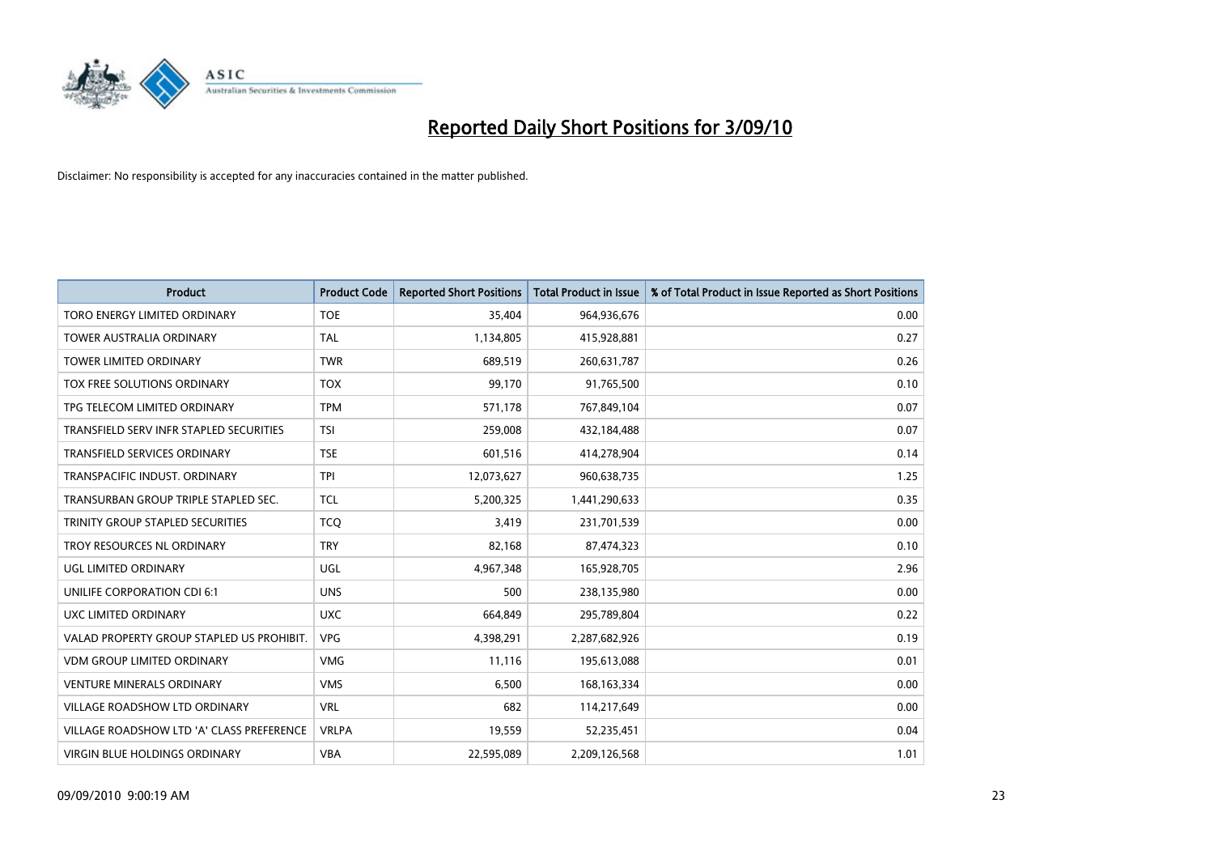

| <b>Product</b>                            | <b>Product Code</b> | <b>Reported Short Positions</b> | Total Product in Issue | % of Total Product in Issue Reported as Short Positions |
|-------------------------------------------|---------------------|---------------------------------|------------------------|---------------------------------------------------------|
| TORO ENERGY LIMITED ORDINARY              | <b>TOE</b>          | 35,404                          | 964,936,676            | 0.00                                                    |
| TOWER AUSTRALIA ORDINARY                  | <b>TAL</b>          | 1,134,805                       | 415,928,881            | 0.27                                                    |
| <b>TOWER LIMITED ORDINARY</b>             | <b>TWR</b>          | 689.519                         | 260,631,787            | 0.26                                                    |
| TOX FREE SOLUTIONS ORDINARY               | <b>TOX</b>          | 99,170                          | 91,765,500             | 0.10                                                    |
| TPG TELECOM LIMITED ORDINARY              | <b>TPM</b>          | 571,178                         | 767,849,104            | 0.07                                                    |
| TRANSFIELD SERV INFR STAPLED SECURITIES   | <b>TSI</b>          | 259,008                         | 432,184,488            | 0.07                                                    |
| <b>TRANSFIELD SERVICES ORDINARY</b>       | <b>TSE</b>          | 601,516                         | 414,278,904            | 0.14                                                    |
| TRANSPACIFIC INDUST, ORDINARY             | <b>TPI</b>          | 12,073,627                      | 960,638,735            | 1.25                                                    |
| TRANSURBAN GROUP TRIPLE STAPLED SEC.      | <b>TCL</b>          | 5,200,325                       | 1,441,290,633          | 0.35                                                    |
| TRINITY GROUP STAPLED SECURITIES          | <b>TCO</b>          | 3,419                           | 231,701,539            | 0.00                                                    |
| TROY RESOURCES NL ORDINARY                | <b>TRY</b>          | 82,168                          | 87,474,323             | 0.10                                                    |
| <b>UGL LIMITED ORDINARY</b>               | UGL                 | 4,967,348                       | 165,928,705            | 2.96                                                    |
| UNILIFE CORPORATION CDI 6:1               | <b>UNS</b>          | 500                             | 238,135,980            | 0.00                                                    |
| UXC LIMITED ORDINARY                      | <b>UXC</b>          | 664,849                         | 295,789,804            | 0.22                                                    |
| VALAD PROPERTY GROUP STAPLED US PROHIBIT. | <b>VPG</b>          | 4,398,291                       | 2,287,682,926          | 0.19                                                    |
| VDM GROUP LIMITED ORDINARY                | <b>VMG</b>          | 11,116                          | 195,613,088            | 0.01                                                    |
| <b>VENTURE MINERALS ORDINARY</b>          | <b>VMS</b>          | 6,500                           | 168, 163, 334          | 0.00                                                    |
| VILLAGE ROADSHOW LTD ORDINARY             | <b>VRL</b>          | 682                             | 114,217,649            | 0.00                                                    |
| VILLAGE ROADSHOW LTD 'A' CLASS PREFERENCE | <b>VRLPA</b>        | 19,559                          | 52,235,451             | 0.04                                                    |
| VIRGIN BLUE HOLDINGS ORDINARY             | <b>VBA</b>          | 22,595,089                      | 2,209,126,568          | 1.01                                                    |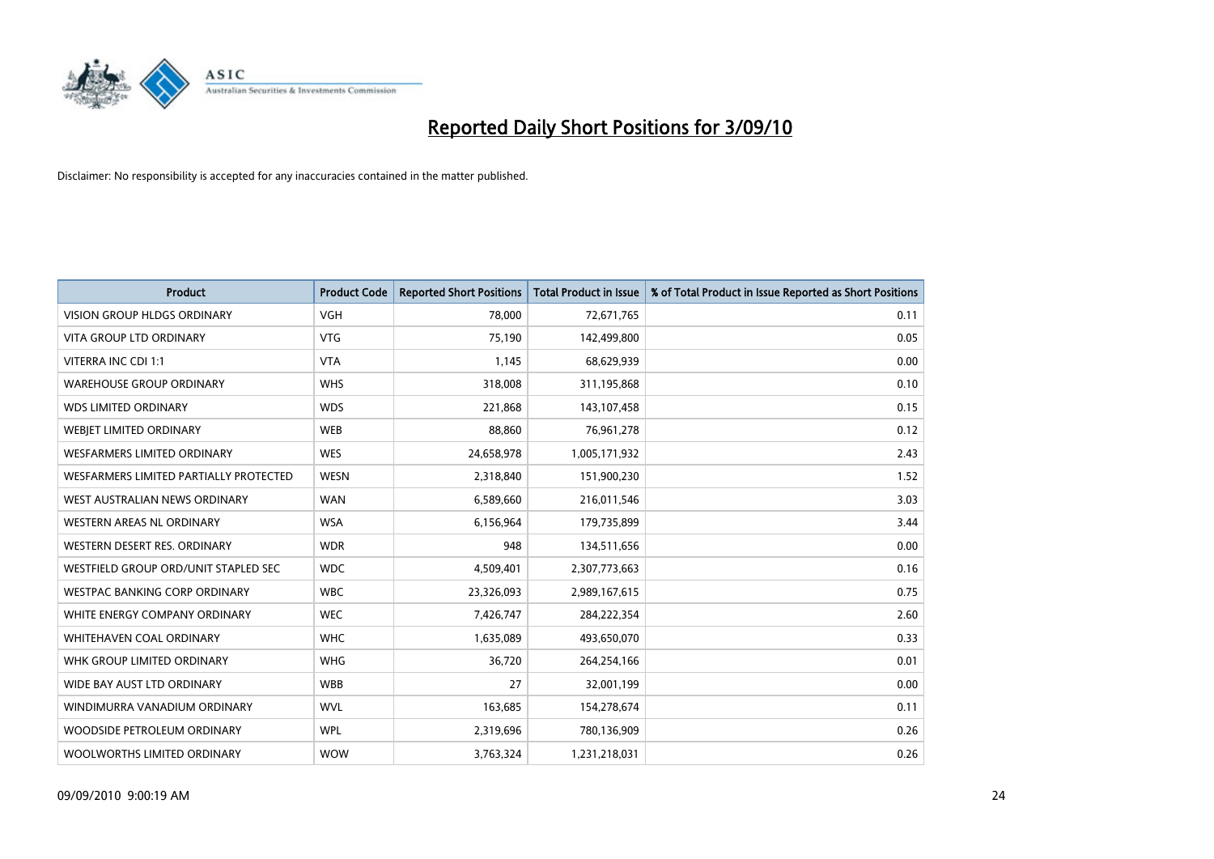

| <b>Product</b>                         | <b>Product Code</b> | <b>Reported Short Positions</b> | <b>Total Product in Issue</b> | % of Total Product in Issue Reported as Short Positions |
|----------------------------------------|---------------------|---------------------------------|-------------------------------|---------------------------------------------------------|
| <b>VISION GROUP HLDGS ORDINARY</b>     | <b>VGH</b>          | 78,000                          | 72,671,765                    | 0.11                                                    |
| VITA GROUP LTD ORDINARY                | <b>VTG</b>          | 75,190                          | 142,499,800                   | 0.05                                                    |
| VITERRA INC CDI 1:1                    | <b>VTA</b>          | 1,145                           | 68,629,939                    | 0.00                                                    |
| <b>WAREHOUSE GROUP ORDINARY</b>        | <b>WHS</b>          | 318,008                         | 311,195,868                   | 0.10                                                    |
| <b>WDS LIMITED ORDINARY</b>            | <b>WDS</b>          | 221,868                         | 143,107,458                   | 0.15                                                    |
| WEBIET LIMITED ORDINARY                | <b>WEB</b>          | 88,860                          | 76,961,278                    | 0.12                                                    |
| <b>WESFARMERS LIMITED ORDINARY</b>     | <b>WES</b>          | 24,658,978                      | 1,005,171,932                 | 2.43                                                    |
| WESFARMERS LIMITED PARTIALLY PROTECTED | <b>WESN</b>         | 2,318,840                       | 151,900,230                   | 1.52                                                    |
| WEST AUSTRALIAN NEWS ORDINARY          | <b>WAN</b>          | 6,589,660                       | 216,011,546                   | 3.03                                                    |
| WESTERN AREAS NL ORDINARY              | <b>WSA</b>          | 6,156,964                       | 179,735,899                   | 3.44                                                    |
| WESTERN DESERT RES. ORDINARY           | <b>WDR</b>          | 948                             | 134,511,656                   | 0.00                                                    |
| WESTFIELD GROUP ORD/UNIT STAPLED SEC   | <b>WDC</b>          | 4,509,401                       | 2,307,773,663                 | 0.16                                                    |
| WESTPAC BANKING CORP ORDINARY          | <b>WBC</b>          | 23,326,093                      | 2,989,167,615                 | 0.75                                                    |
| WHITE ENERGY COMPANY ORDINARY          | <b>WEC</b>          | 7,426,747                       | 284,222,354                   | 2.60                                                    |
| WHITEHAVEN COAL ORDINARY               | <b>WHC</b>          | 1,635,089                       | 493,650,070                   | 0.33                                                    |
| WHK GROUP LIMITED ORDINARY             | <b>WHG</b>          | 36,720                          | 264,254,166                   | 0.01                                                    |
| WIDE BAY AUST LTD ORDINARY             | <b>WBB</b>          | 27                              | 32,001,199                    | 0.00                                                    |
| WINDIMURRA VANADIUM ORDINARY           | <b>WVL</b>          | 163,685                         | 154,278,674                   | 0.11                                                    |
| WOODSIDE PETROLEUM ORDINARY            | <b>WPL</b>          | 2,319,696                       | 780,136,909                   | 0.26                                                    |
| WOOLWORTHS LIMITED ORDINARY            | <b>WOW</b>          | 3,763,324                       | 1,231,218,031                 | 0.26                                                    |